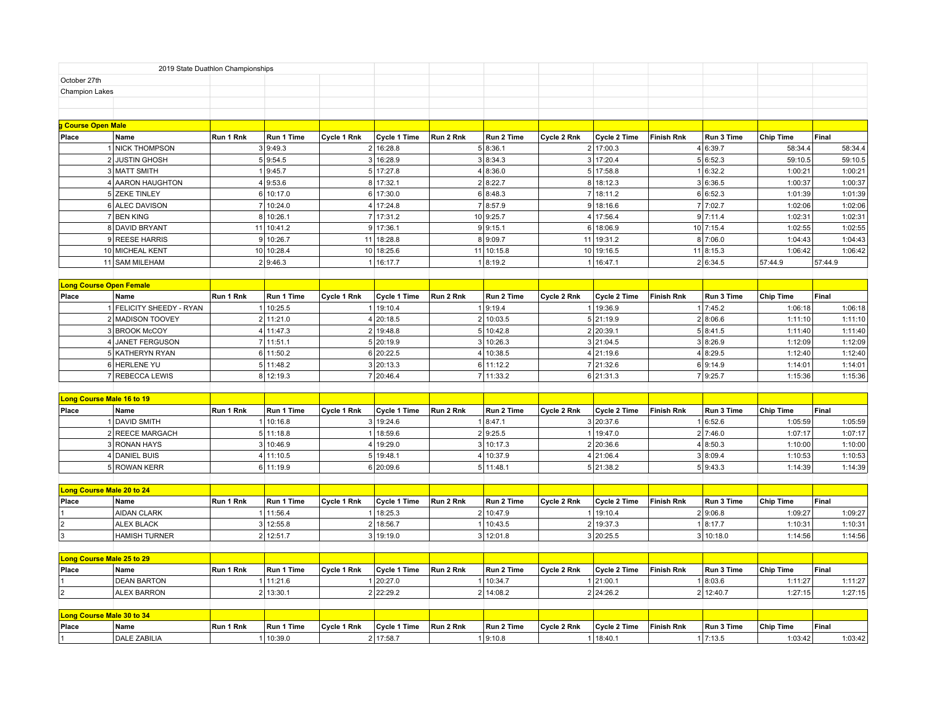|                                  |                                  | 2019 State Duathlon Championships |            |             |              |           |            |             |                     |                   |            |                  |         |
|----------------------------------|----------------------------------|-----------------------------------|------------|-------------|--------------|-----------|------------|-------------|---------------------|-------------------|------------|------------------|---------|
| October 27th                     |                                  |                                   |            |             |              |           |            |             |                     |                   |            |                  |         |
| <b>Champion Lakes</b>            |                                  |                                   |            |             |              |           |            |             |                     |                   |            |                  |         |
|                                  |                                  |                                   |            |             |              |           |            |             |                     |                   |            |                  |         |
| <b>Course Open Male</b>          |                                  |                                   |            |             |              |           |            |             |                     |                   |            |                  |         |
| Place                            | Name                             | Run 1 Rnk                         | Run 1 Time | Cycle 1 Rnk | Cycle 1 Time | Run 2 Rnk | Run 2 Time | Cycle 2 Rnk | Cycle 2 Time        | <b>Finish Rnk</b> | Run 3 Time | <b>Chip Time</b> | Final   |
|                                  | <b>NICK THOMPSON</b>             |                                   | 3 9:49.3   |             | 2 16:28.8    |           | 5 8:36.1   |             | 2 17:00.3           |                   | 4 6:39.7   | 58:34.4          | 58:34.4 |
|                                  | 2 JUSTIN GHOSH                   |                                   | 5 9:54.5   |             | 3 16:28.9    |           | 3 8:34.3   |             | 3 17:20.4           |                   | 5 6:52.3   | 59:10.5          | 59:10.5 |
|                                  | 3 MATT SMITH                     |                                   | 1 9:45.7   |             | 5 17:27.8    |           | 4 8:36.0   |             | 5 17:58.8           |                   | 1 6:32.2   | 1:00:21          | 1:00:21 |
|                                  | 4 AARON HAUGHTON                 |                                   | 4 9:53.6   |             | 8 17:32.1    |           | 2 8:22.7   |             | 8 18:12.3           |                   | 3 6:36.5   | 1:00:37          | 1:00:37 |
|                                  | 5 ZEKE TINLEY                    |                                   | 6 10:17.0  |             | 6 17:30.0    |           | 6 8:48.3   |             | 7 18:11.2           |                   | 6 6:52.3   | 1:01:39          | 1:01:39 |
|                                  | 6 ALEC DAVISON                   |                                   | 7 10:24.0  |             | 4 17:24.8    |           | 7 8:57.9   |             | 9 18:16.6           |                   | 7 7:02.7   | 1:02:06          | 1:02:06 |
|                                  | 7 BEN KING                       |                                   | 8 10:26.1  |             | 7 17:31.2    |           | 10 9:25.7  |             | 4 17:56.4           |                   | 9 7:11.4   | 1:02:31          | 1:02:31 |
|                                  | 8 DAVID BRYANT                   |                                   | 11 10:41.2 |             | 9 17:36.1    |           | 9 9:15.1   |             | 6 18:06.9           |                   | 10 7:15.4  | 1:02:55          | 1:02:55 |
|                                  | 9 REESE HARRIS                   |                                   | 9 10:26.7  |             | 11 18:28.8   |           | 89:09.7    |             | 11 19:31.2          |                   | 8 7:06.0   | 1:04:43          | 1:04:43 |
|                                  | 10 MICHEAL KENT                  |                                   | 10 10:28.4 |             | 10 18:25.6   |           | 11 10:15.8 |             | 10 19:16.5          |                   | 11 8:15.3  | 1:06:42          | 1:06:42 |
|                                  | 11 SAM MILEHAM                   |                                   | 2 9:46.3   |             | 116:17.7     |           | 1 8:19.2   |             | 1 16:47.1           |                   | 2 6:34.5   | 57:44.9          | 57:44.9 |
|                                  |                                  |                                   |            |             |              |           |            |             |                     |                   |            |                  |         |
|                                  | <b>Long Course Open Female</b>   |                                   |            |             |              |           |            |             |                     |                   |            |                  |         |
| Place                            | Name                             | Run 1 Rnk                         | Run 1 Time | Cycle 1 Rnk | Cycle 1 Time | Run 2 Rnk | Run 2 Time | Cycle 2 Rnk | <b>Cycle 2 Time</b> | <b>Finish Rnk</b> | Run 3 Time | <b>Chip Time</b> | Final   |
|                                  | FELICITY SHEEDY - RYAN           |                                   | 1 10:25.5  |             | 1 19:10.4    |           | 1 9:19.4   |             | 1 19:36.9           |                   | 1 7:45.2   | 1:06:18          | 1:06:18 |
|                                  | 2 MADISON TOOVEY                 |                                   | 2 11:21.0  |             | 4 20:18.5    |           | 2 10:03.5  |             | 5 21:19.9           |                   | 2 8:06.6   | 1:11:10          | 1:11:10 |
|                                  | 3 BROOK McCOY                    |                                   | 4 11:47.3  |             | 2 19:48.8    |           | 5 10:42.8  |             | 2 20:39.1           |                   | 5 8:41.5   | 1:11:40          | 1:11:40 |
|                                  | $\overline{4}$<br>JANET FERGUSON |                                   | 7 11:51.1  |             | 5 20:19.9    |           | 3 10:26.3  |             | 3 21:04.5           |                   | 3 8:26.9   | 1:12:09          | 1:12:09 |
|                                  | 5 KATHERYN RYAN                  |                                   | 6 11:50.2  |             | 6 20:22.5    |           | 4 10:38.5  |             | 4 21:19.6           |                   | 4 8:29.5   | 1:12:40          | 1:12:40 |
|                                  | 6 HERLENE YU                     |                                   | 5 11:48.2  |             | 3 20:13.3    |           | 6 11:12.2  |             | 7 21:32.6           |                   | 6 9:14.9   | 1:14:01          | 1:14:01 |
|                                  | 7 REBECCA LEWIS                  |                                   | 8 12:19.3  |             | 7 20:46.4    |           | 7 11:33.2  |             | 6 21:31.3           |                   | 7 9:25.7   | 1:15:36          | 1:15:36 |
|                                  |                                  |                                   |            |             |              |           |            |             |                     |                   |            |                  |         |
|                                  | Long Course Male 16 to 19        |                                   |            |             |              |           |            |             |                     |                   |            |                  |         |
| Place                            | Name                             | Run 1 Rnk                         | Run 1 Time | Cycle 1 Rnk | Cycle 1 Time | Run 2 Rnk | Run 2 Time | Cycle 2 Rnk | Cycle 2 Time        | <b>Finish Rnk</b> | Run 3 Time | <b>Chip Time</b> | Final   |
|                                  | <b>DAVID SMITH</b>               |                                   | 10:16.8    |             | 3 19:24.6    |           | 1 8:47.1   |             | 3 20:37.6           |                   | 1 6:52.6   | 1:05:59          | 1:05:59 |
|                                  | 2 REECE MARGACH                  |                                   | 5 11:18.8  |             | 1 18:59.6    |           | 2 9:25.5   |             | 1 19:47.0           |                   | 2 7:46.0   | 1:07:17          | 1:07:17 |
|                                  | 3 RONAN HAYS                     |                                   | 3 10:46.9  |             | 4 19:29.0    |           | 3 10:17.3  |             | 2 20:36.6           |                   | 4 8:50.3   | 1:10:00          | 1:10:00 |
|                                  | 4 DANIEL BUIS                    |                                   | 4 11:10.5  |             | 5 19:48.1    |           | 4 10:37.9  |             | 4 21:06.4           |                   | 3 8:09.4   | 1:10:53          | 1:10:53 |
|                                  | 5 ROWAN KERR                     |                                   | 6 11:19.9  |             | 6 20:09.6    |           | 5 11:48.1  |             | 5 21:38.2           |                   | 5 9:43.3   | 1:14:39          | 1:14:39 |
|                                  | <b>Long Course Male 20 to 24</b> |                                   |            |             |              |           |            |             |                     |                   |            |                  |         |
| Place                            | Name                             | Run 1 Rnk                         | Run 1 Time | Cycle 1 Rnk | Cycle 1 Time | Run 2 Rnk | Run 2 Time | Cycle 2 Rnk | Cycle 2 Time        | <b>Finish Rnk</b> | Run 3 Time | <b>Chip Time</b> | Final   |
|                                  | <b>AIDAN CLARK</b>               |                                   | 1 11:56.4  |             | 1 18:25.3    |           | 2 10:47.9  |             | 1 19:10.4           |                   | 2 9:06.8   | 1:09:27          | 1:09:27 |
|                                  | <b>ALEX BLACK</b>                |                                   | 3 12:55.8  |             | 2 18:56.7    |           | 10:43.5    |             | 2 19:37.3           |                   | 1 8:17.7   | 1:10:31          | 1:10:31 |
| $\overline{3}$                   | <b>HAMISH TURNER</b>             |                                   | 2 12:51.7  |             | 3 19:19.0    |           | 3 12:01.8  |             | 3 20:25.5           |                   | 3 10:18.0  | 1:14:56          | 1:14:56 |
|                                  |                                  |                                   |            |             |              |           |            |             |                     |                   |            |                  |         |
| <b>Long Course Male 25 to 29</b> |                                  |                                   |            |             |              |           |            |             |                     |                   |            |                  |         |
| Place                            | Name                             | Run 1 Rnk                         | Run 1 Time | Cycle 1 Rnk | Cycle 1 Time | Run 2 Rnk | Run 2 Time | Cycle 2 Rnk | Cycle 2 Time        | <b>Finish Rnk</b> | Run 3 Time | <b>Chip Time</b> | Final   |
|                                  | <b>DEAN BARTON</b>               |                                   | 1 11:21.6  |             | 1 20:27.0    |           | 1 10:34.7  |             | 1 21:00.1           |                   | 1 8:03.6   | 1:11:27          | 1:11:27 |
|                                  | <b>ALEX BARRON</b>               |                                   | 2 13:30.1  |             | 2 22:29.2    |           | 2 14:08.2  |             | 2 24:26.2           |                   | 2 12:40.7  | 1:27:15          | 1:27:15 |
|                                  |                                  |                                   |            |             |              |           |            |             |                     |                   |            |                  |         |
|                                  | <b>Long Course Male 30 to 34</b> |                                   |            |             |              |           |            |             |                     |                   |            |                  |         |
| Place                            | Name                             | Run 1 Rnk                         | Run 1 Time | Cycle 1 Rnk | Cycle 1 Time | Run 2 Rnk | Run 2 Time | Cycle 2 Rnk | Cycle 2 Time        | <b>Finish Rnk</b> | Run 3 Time | <b>Chip Time</b> | Final   |
|                                  | <b>DALE ZABILIA</b>              |                                   | 1 10:39.0  |             | 2 17:58.7    |           | 1 9:10.8   |             | 1 18:40.1           |                   | 1 7:13.5   | 1:03:42          | 1:03:42 |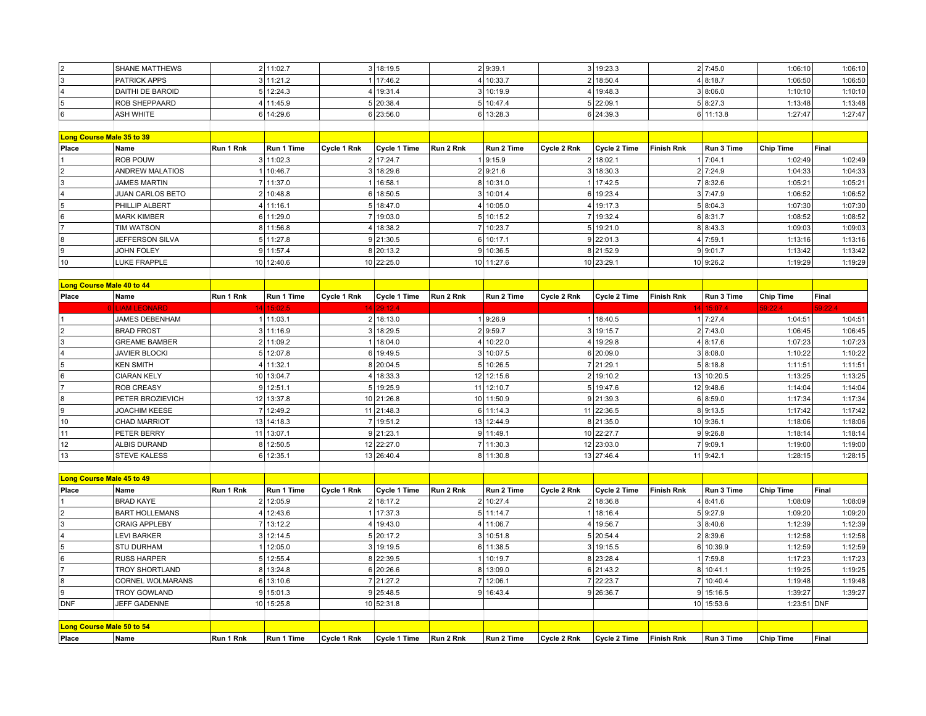| <b>SHANE MATTHEWS</b> | 2 11:02.7 | 3 18:19.5   | 2 9:39.1  | 3 19:23.3 | 2 7:45.0  | 1:06:101 | 1:06:10 |
|-----------------------|-----------|-------------|-----------|-----------|-----------|----------|---------|
| <b>PATRICK APPS</b>   | 3 11:21.2 | 117:46.2    | 4 10:33.7 | 2 18:50.4 | 4 8:18.7  | 1:06:50  | 1:06:50 |
| DAITHI DE BAROID      | 5 12:24.3 | 1   19:31.4 | 3 10:19.9 | 19:48.3   | 3 8:06.0  | :10:10   | 1:10:10 |
| <b>ROB SHEPPAARD</b>  | 4 11:45.9 | 20:38.4     | 5 10:47.4 | 5 22:09.1 | 5 8:27.3  | :13:48   | 1:13:48 |
| <b>ASH WHITE</b>      | 6 14:29.6 | 6 23:56.0   | 6 13:28.3 | 6 24:39.3 | 6 11:13.8 | :27:47   | 1:27:47 |

|                           | .                       |           | $\cdots$   |             | <u>.</u>     |           | $- - - - -$ |             | - - - - - - - - |                   | .          | .                | .       |
|---------------------------|-------------------------|-----------|------------|-------------|--------------|-----------|-------------|-------------|-----------------|-------------------|------------|------------------|---------|
|                           |                         |           |            |             |              |           |             |             |                 |                   |            |                  |         |
| Long Course Male 35 to 39 |                         |           |            |             |              |           |             |             |                 |                   |            |                  |         |
| Place                     | Name                    | Run 1 Rnk | Run 1 Time | Cycle 1 Rnk | Cycle 1 Time | Run 2 Rnk | Run 2 Time  | Cycle 2 Rnk | Cycle 2 Time    | <b>Finish Rnk</b> | Run 3 Time | <b>Chip Time</b> | Final   |
|                           | <b>ROB POUW</b>         |           | 11:02.3    |             | 2 17:24.7    |           | 1 9:15.9    |             | 218:02.1        |                   | 7:04.1     | 1:02:49          | 1:02:49 |
|                           | <b>ANDREW MALATIOS</b>  |           | 10:46.7    |             | 3 18:29.6    |           | 2 9:21.6    |             | 3 18:30.3       |                   | 2 7:24.9   | 1:04:33          | 1:04:33 |
|                           | <b>JAMES MARTIN</b>     |           | 111:37.0   |             | 16:58.1      |           | 8 10:31.0   |             | 17:42.5         |                   | 8:32.6     | 1:05:21          | 1:05:21 |
|                           | <b>JUAN CARLOS BETO</b> |           | 2 10:48.8  |             | 6 18:50.5    |           | 3 10:01.4   |             | 19:23.4         |                   | 3 7:47.9   | 1:06:52          | 1:06:52 |
|                           | <b>PHILLIP ALBERT</b>   |           | 111:16.1   |             | 5 18:47.0    |           | 4 10:05.0   |             | 4 19:17.3       |                   | 5 8:04.3   | 1:07:30          | 1:07:30 |
|                           | <b>MARK KIMBER</b>      |           | 6 11:29.0  |             | 7 19:03.0    |           | 10:15.2     |             | 7 19:32.4       |                   | 6 8:31.7   | 1:08:52          | 1:08:52 |
|                           | <b>TIM WATSON</b>       |           | 8 11:56.8  |             | 4 18:38.2    |           | 10:23.7     |             | 5 19:21.0       |                   | 8 8:43.3   | 1:09:03          | 1:09:03 |
|                           | JEFFERSON SILVA         |           | 5 11:27.8  |             | 9 21:30.5    |           | 6 10:17.1   |             | 9 22:01.3       |                   | 4 7:59.1   | 1:13:16          | 1:13:16 |
|                           | <b>JOHN FOLEY</b>       |           | 111:57.4   |             | 8 20:13.2    |           | 9 10:36.5   |             | 8 21:52.9       |                   | 9 9:01.7   | 1:13:42          | 1:13:42 |
| 10                        | LUKE FRAPPLE            |           | 10 12:40.6 |             | 10 22:25.0   |           | 10 11:27.6  |             | 10 23:29.1      |                   | 10 9:26.2  | 1:19:29          | 1:19:29 |
|                           |                         |           |            |             |              |           |             |             |                 |                   |            |                  |         |

|       | Long Course Male 40 to 44 |           |                |             |              |           |            |             |              |            |            |                  |         |
|-------|---------------------------|-----------|----------------|-------------|--------------|-----------|------------|-------------|--------------|------------|------------|------------------|---------|
| Place | Name                      | Run 1 Rnk | Run 1 Time     | Cvcle 1 Rnk | Cvcle 1 Time | Run 2 Rnk | Run 2 Time | Cycle 2 Rnk | Cycle 2 Time | Finish Rnk | Run 3 Time | <b>Chip Time</b> | Final   |
|       | <b>OLLIAM LEONARD</b>     |           | 14 15:02.5     |             | 14 29:12.4   |           |            |             |              |            | 14 15:07.4 | 59:22.4          | 59:22.4 |
|       | <b>JAMES DEBENHAM</b>     |           | 11:03.1        |             | 2 18:13.0    |           | 9:26.9     |             | 18:40.5      |            | 7:27.4     | 1:04:51          | 1:04:51 |
|       | <b>BRAD FROST</b>         |           | 3 11:16.9      |             | 3 18:29.5    |           | 2 9:59.7   |             | 19:15.7      |            | 2 7:43.0   | 1:06:45          | 1:06:45 |
|       | <b>GREAME BAMBER</b>      |           | 2 11:09.2      |             | 18:04.0      |           | 4 10:22.0  |             | 19:29.8      |            | 4 8:17.6   | 1:07:23          | 1:07:23 |
|       | <b>JAVIER BLOCKI</b>      |           | 5 12:07.8      |             | 6 19:49.5    |           | 3 10:07.5  |             | 6 20:09.0    |            | 3 8:08.0   | 1:10:22          | 1:10:22 |
|       | <b>KEN SMITH</b>          |           | 4 11:32.1      |             | 8 20:04.5    |           | 5 10:26.5  |             | 21:29.1      |            | 5 8:18.8   | 1:11:51          | 1:11:51 |
|       | <b>CIARAN KELY</b>        |           | 10 13:04.7     |             | 18:33.3      |           | 12 12:15.6 |             | 2 19:10.2    |            | 13 10:20.5 | 1:13:25          | 1:13:25 |
|       | <b>ROB CREASY</b>         |           | 9 12:51.1      |             | 5 19:25.9    |           | 11 12:10.7 |             | 5 19:47.6    |            | 12 9:48.6  | 1:14:04          | 1:14:04 |
|       | <b>PETER BROZIEVICH</b>   |           | 12 13:37.8     |             | 10 21:26.8   |           | 10 11:50.9 |             | 9 21:39.3    |            | 6 8:59.0   | 1:17:34          | 1:17:34 |
|       | <b>JOACHIM KEESE</b>      |           | 12:49.2        |             | 11 21:48.3   |           | 6 11:14.3  |             | 11 22:36.5   |            | 8 9:13.5   | 1:17:42          | 1:17:42 |
|       | <b>CHAD MARRIOT</b>       |           | 13 14:18.3     |             | 19:51.2      |           | 13 12:44.9 |             | 8 21:35.0    |            | 10 9:36.1  | 1:18:06          | 1:18:06 |
|       | <b>PETER BERRY</b>        |           | $11$   13:07.1 |             | 9 21:23.1    |           | 9 11:49.1  |             | 10 22:27.7   |            | 9 9:26.8   | 1:18:14          | 1:18:14 |
| 12    | ALBIS DURAND              |           | 8 12:50.5      |             | 12 22:27.0   |           | 7 11:30.3  |             | 12 23:03.0   |            | 7 9:09.1   | 1:19:00          | 1:19:00 |
|       | <b>STEVE KALESS</b>       |           | 6 12:35.1      |             | 13 26:40.4   |           | 8 11:30.8  |             | 13 27:46.4   |            | 11 9:42.1  | 1:28:15          | 1:28:15 |

| Long Course Male 45 to 49 |                       |           |            |             |              |           |            |             |              |                   |            |                  |         |
|---------------------------|-----------------------|-----------|------------|-------------|--------------|-----------|------------|-------------|--------------|-------------------|------------|------------------|---------|
| Place                     | Name                  | Run 1 Rnk | Run 1 Time | Cycle 1 Rnk | Cycle 1 Time | Run 2 Rnk | Run 2 Time | Cycle 2 Rnk | Cycle 2 Time | <b>Finish Rnk</b> | Run 3 Time | Chip Time        | Final   |
|                           | <b>BRAD KAYE</b>      |           | 2 12:05.9  |             | 2 18:17.2    |           | 2 10:27.4  |             | 2 18:36.8    |                   | 4 8:41.6   | 1:08:09          | 1:08:09 |
|                           | <b>BART HOLLEMANS</b> |           | 12:43.6    |             | 17:37.3      |           | 5 11:14.7  |             | 18:16.4      |                   | 5 9:27.9   | 1:09:20          | 1:09:20 |
|                           | <b>CRAIG APPLEBY</b>  |           | 13:12.2    |             | 4   19:43.0  |           | 4 11:06.7  |             | 19:56.7      |                   | 3 8:40.6   | 1:12:39          | 1:12:39 |
|                           | <b>LEVI BARKER</b>    |           | 3 12:14.5  |             | 5 20:17.2    |           | 3 10:51.8  |             | 5 20:54.4    |                   | 2 8:39.6   | 1:12:58          | 1:12:58 |
|                           | ISTU DURHAM           |           | 12:05.0    |             | 3 19:19.5    |           | 6 11:38.5  |             | 3   19:15.5  |                   | 6 10:39.9  | 1:12:59          | 1:12:59 |
|                           | <b>IRUSS HARPER</b>   |           | 5 12:55.4  |             | 8 22:39.5    |           | 10:19.7    |             | 8 23:28.4    |                   | 7:59.8     | 1:17:23          | 1:17:23 |
|                           | TROY SHORTLAND        |           | 8 13:24.8  |             | 6 20:26.6    |           | 8 13:09.0  |             | 6 21:43.2    |                   | 8 10:41.1  | 1:19:25          | 1:19:25 |
|                           | CORNEL WOLMARANS      |           | 6 13:10.6  |             | 121:27.2     |           | 12:06.1    |             | 22:23.7      |                   | 10:40.4    | 1:19:48          | 1:19:48 |
|                           | TROY GOWLAND          |           | 9 15:01.3  |             | 9 25:48.5    |           | 9 16:43.4  |             | 9 26:36.7    |                   | 9115:16.5  | 1:39:27          | 1:39:27 |
| <b>DNF</b>                | <b>JEFF GADENNE</b>   |           | 10 15:25.8 |             | 10 52:31.8   |           |            |             |              |                   | 10 15:53.6 | 1:23:51 DNF      |         |
|                           |                       |           |            |             |              |           |            |             |              |                   |            |                  |         |
| Long Course Male 50 to 54 |                       |           |            |             |              |           |            |             |              |                   |            |                  |         |
| Place                     | Name                  | Run 1 Rnk | Run 1 Time | Cycle 1 Rnk | Cycle 1 Time | Run 2 Rnk | Run 2 Time | Cycle 2 Rnk | Cycle 2 Time | <b>Finish Rnk</b> | Run 3 Time | <b>Chip Time</b> | Final   |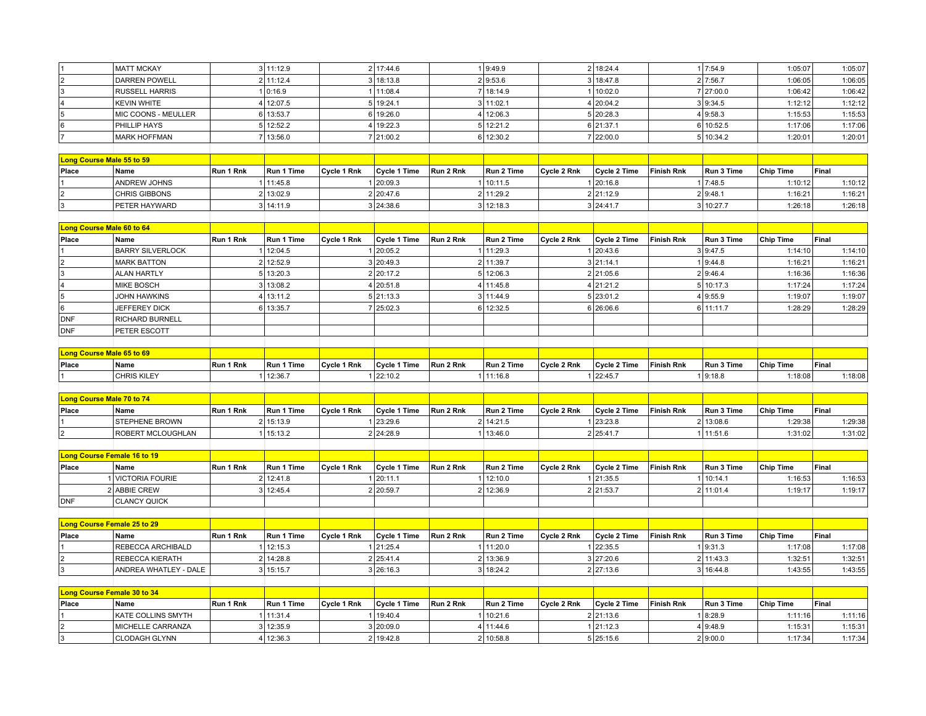| 1                                                                      | <b>MATT MCKAY</b>                         |                | 3 11:12.9  |             | 2 17:44.6    |           | 19:49.9    |             | 2 18:24.4           |                   | 1 7:54.9   | 1:05:07          | 1:05:07            |
|------------------------------------------------------------------------|-------------------------------------------|----------------|------------|-------------|--------------|-----------|------------|-------------|---------------------|-------------------|------------|------------------|--------------------|
|                                                                        | <b>DARREN POWELL</b>                      |                | 2 11:12.4  |             | 3 18:13.8    |           | 2 9:53.6   |             | 3 18:47.8           |                   | 2 7:56.7   | 1:06:05          | 1:06:05            |
| $\begin{array}{c c}\n2 \\ 3\n\end{array}$                              | <b>RUSSELL HARRIS</b>                     |                | 1 0:16.9   |             | 1 11:08.4    |           | 7 18:14.9  |             | 1 10:02.0           |                   | 7 27:00.0  | 1:06:42          |                    |
| $\overline{4}$                                                         |                                           |                | 4 12:07.5  |             | 5 19:24.1    |           | 3 11:02.1  |             | 4 20:04.2           |                   | 3 9:34.5   | 1:12:12          | 1:06:42<br>1:12:12 |
| $\overline{5}$                                                         | <b>KEVIN WHITE</b><br>MIC COONS - MEULLER |                | 6 13:53.7  |             | 6 19:26.0    |           | 4 12:06.3  |             | 5 20:28.3           |                   | 4 9:58.3   | 1:15:53          | 1:15:53            |
| $\overline{6}$                                                         |                                           |                |            |             |              |           |            |             |                     |                   |            |                  |                    |
|                                                                        | PHILLIP HAYS                              |                | 5 12:52.2  |             | 4 19:22.3    |           | 5 12:21.2  |             | 6 21:37.1           |                   | 6 10:52.5  | 1:17:06          | 1:17:06            |
| 7                                                                      | <b>MARK HOFFMAN</b>                       |                | 7 13:56.0  |             | 7 21:00.2    |           | 6 12:30.2  |             | 7 22:00.0           |                   | 5 10:34.2  | 1:20:01          | 1:20:01            |
|                                                                        |                                           |                |            |             |              |           |            |             |                     |                   |            |                  |                    |
| Long Course Male 55 to 59                                              |                                           |                |            |             |              |           |            |             |                     |                   |            |                  |                    |
| Place                                                                  | Name                                      | Run 1 Rnk      | Run 1 Time | Cycle 1 Rnk | Cycle 1 Time | Run 2 Rnk | Run 2 Time | Cycle 2 Rnk | Cycle 2 Time        | <b>Finish Rnk</b> | Run 3 Time | <b>Chip Time</b> | Final              |
|                                                                        | <b>ANDREW JOHNS</b>                       |                | 1 11:45.8  |             | 1 20:09.3    |           | 1 10:11.5  |             | 1 20:16.8           |                   | 1 7:48.5   | 1:10:12          | 1:10:12            |
| $\vert$ 2                                                              | CHRIS GIBBONS                             |                | 2 13:02.9  |             | 2 20:47.6    |           | 2 11:29.2  |             | 2 21:12.9           |                   | 2 9:48.1   | 1:16:21          | 1:16:21            |
| $\overline{\mathbf{3}}$                                                | PETER HAYWARD                             |                | 3 14:11.9  |             | 3 24:38.6    |           | 3 12:18.3  |             | 3 24:41.7           |                   | 3 10:27.7  | 1:26:18          | 1:26:18            |
|                                                                        |                                           |                |            |             |              |           |            |             |                     |                   |            |                  |                    |
| Long Course Male 60 to 64                                              |                                           |                |            |             |              |           |            |             |                     |                   |            |                  |                    |
| Place                                                                  | Name                                      | Run 1 Rnk      | Run 1 Time | Cycle 1 Rnk | Cycle 1 Time | Run 2 Rnk | Run 2 Time | Cycle 2 Rnk | Cycle 2 Time        | <b>Finish Rnk</b> | Run 3 Time | <b>Chip Time</b> | Final              |
|                                                                        | <b>BARRY SILVERLOCK</b>                   | $\mathbf{1}$   | 12:04.5    |             | 1 20:05.2    |           | 1 11:29.3  |             | 1 20:43.6           |                   | 3 9:47.5   | 1:14:10          | 1:14:10            |
|                                                                        | <b>MARK BATTON</b>                        |                | 2 12:52.9  |             | 3 20:49.3    |           | 2 11:39.7  |             | 3 21:14.1           |                   | 1 9:44.8   | 1:16:21          | 1:16:21            |
|                                                                        | <b>ALAN HARTLY</b>                        |                | 5 13:20.3  |             | 2 20:17.2    |           | 5 12:06.3  |             | 2 21:05.6           |                   | 2 9:46.4   | 1:16:36          | 1:16:36            |
| $\begin{array}{c c}\n2 & 3 \\ \hline\n4 & 5 \\ \hline\n6\n\end{array}$ | MIKE BOSCH                                |                | 3 13:08.2  |             | 4 20:51.8    |           | 4 11:45.8  |             | 4 21:21.2           |                   | 5 10:17.3  | 1:17:24          | 1:17:24            |
|                                                                        | JOHN HAWKINS                              |                | 4 13:11.2  |             | 5 21:13.3    |           | 3 11:44.9  |             | 5 23:01.2           |                   | 4 9:55.9   | 1:19:07          | 1:19:07            |
|                                                                        | JEFFEREY DICK                             |                | 6 13:35.7  |             | 7 25:02.3    |           | 6 12:32.5  |             | 6 26:06.6           |                   | 6 11:11.7  | 1:28:29          | 1:28:29            |
| DNF                                                                    | <b>RICHARD BURNELL</b>                    |                |            |             |              |           |            |             |                     |                   |            |                  |                    |
| DNF                                                                    | PETER ESCOTT                              |                |            |             |              |           |            |             |                     |                   |            |                  |                    |
|                                                                        |                                           |                |            |             |              |           |            |             |                     |                   |            |                  |                    |
| Long Course Male 65 to 69                                              |                                           |                |            |             |              |           |            |             |                     |                   |            |                  |                    |
| Place                                                                  | Name                                      | Run 1 Rnk      | Run 1 Time | Cycle 1 Rnk | Cycle 1 Time | Run 2 Rnk | Run 2 Time | Cycle 2 Rnk | Cycle 2 Time        | <b>Finish Rnk</b> | Run 3 Time | <b>Chip Time</b> | Final              |
| 11                                                                     | CHRIS KILEY                               |                | 12:36.7    |             | 1 22:10.2    |           | 1 11:16.8  |             | 1 22:45.7           |                   | 1 9:18.8   | 1:18:08          | 1:18:08            |
|                                                                        |                                           |                |            |             |              |           |            |             |                     |                   |            |                  |                    |
| Long Course Male 70 to 74                                              |                                           |                |            |             |              |           |            |             |                     |                   |            |                  |                    |
| Place                                                                  | Name                                      | Run 1 Rnk      | Run 1 Time | Cycle 1 Rnk | Cycle 1 Time | Run 2 Rnk | Run 2 Time | Cycle 2 Rnk | Cycle 2 Time        | <b>Finish Rnk</b> | Run 3 Time | <b>Chip Time</b> | Final              |
| $\mathbf{1}$                                                           | <b>STEPHENE BROWN</b>                     |                | 2 15:13.9  |             | 1 23:29.6    |           | 2 14:21.5  |             | 1 23:23.8           |                   | 2 13:08.6  | 1:29:38          | 1:29:38            |
| $\overline{2}$                                                         | <b>ROBERT MCLOUGHLAN</b>                  |                | 1 15:13.2  |             | 2 24:28.9    |           | 1 13:46.0  |             | 2 25:41.7           |                   | 1 11:51.6  | 1:31:02          | 1:31:02            |
|                                                                        |                                           |                |            |             |              |           |            |             |                     |                   |            |                  |                    |
| Long Course Female 16 to 19                                            |                                           |                |            |             |              |           |            |             |                     |                   |            |                  |                    |
| Place                                                                  | Name                                      | Run 1 Rnk      | Run 1 Time | Cycle 1 Rnk | Cycle 1 Time | Run 2 Rnk | Run 2 Time | Cycle 2 Rnk | Cycle 2 Time        | <b>Finish Rnk</b> | Run 3 Time | <b>Chip Time</b> | Final              |
|                                                                        | 1 VICTORIA FOURIE                         |                | 2 12:41.8  |             | 1 20:11.1    |           | 1 12:10.0  |             | 1 21:35.5           |                   | 1 10:14.1  | 1:16:53          | 1:16:53            |
|                                                                        | 2 ABBIE CREW                              |                | 3 12:45.4  |             | 2 20:59.7    |           | 2 12:36.9  |             | 2 21:53.7           |                   | 2 11:01.4  | 1:19:17          | 1:19:17            |
| DNF                                                                    | <b>CLANCY QUICK</b>                       |                |            |             |              |           |            |             |                     |                   |            |                  |                    |
|                                                                        |                                           |                |            |             |              |           |            |             |                     |                   |            |                  |                    |
| Long Course Female 25 to 29                                            |                                           |                |            |             |              |           |            |             |                     |                   |            |                  |                    |
| Place                                                                  | Name                                      | Run 1 Rnk      | Run 1 Time | Cycle 1 Rnk | Cycle 1 Time | Run 2 Rnk | Run 2 Time | Cycle 2 Rnk | Cycle 2 Time        | <b>Finish Rnk</b> | Run 3 Time | <b>Chip Time</b> | Final              |
|                                                                        | REBECCA ARCHIBALD                         | 1              | 12:15.3    |             | 1 21:25.4    |           | 1 11:20.0  |             | 1 22:35.5           |                   | 1 9:31.3   | 1:17:08          | 1:17:08            |
| $\overline{\mathbf{r}}$                                                | <b>REBECCA KIERATH</b>                    |                | 2 14:28.8  |             | 2 25:41.4    |           | 2 13:36.9  |             | 3 27:20.6           |                   | 2 11:43.3  | 1:32:51          | 1:32:51            |
| $\overline{\mathbf{3}}$                                                | ANDREA WHATLEY - DALE                     |                | 3 15:15.7  |             | 3 26:16.3    |           | 3 18:24.2  |             | 2 27:13.6           |                   | 3 16:44.8  | 1:43:55          | 1:43:55            |
|                                                                        |                                           |                |            |             |              |           |            |             |                     |                   |            |                  |                    |
| Long Course Female 30 to 34                                            |                                           |                |            |             |              |           |            |             |                     |                   |            |                  |                    |
| Place                                                                  | Name                                      | Run 1 Rnk      | Run 1 Time | Cycle 1 Rnk | Cycle 1 Time | Run 2 Rnk | Run 2 Time | Cycle 2 Rnk | <b>Cycle 2 Time</b> | <b>Finish Rnk</b> | Run 3 Time | <b>Chip Time</b> | Final              |
|                                                                        | KATE COLLINS SMYTH                        | $\overline{1}$ | 11:31.4    |             | 1 19:40.4    |           | 1 10:21.6  |             | 2 21:13.6           |                   | 1 8:28.9   | 1:11:16          | 1:11:16            |
|                                                                        | MICHELLE CARRANZA                         |                | 3 12:35.9  |             | 3 20:09.0    |           | 4 11:44.6  |             | 1 21:12.3           |                   | 4 9:48.9   | 1:15:31          | 1:15:31            |
| $\frac{2}{3}$                                                          | <b>CLODAGH GLYNN</b>                      |                | 4 12:36.3  |             | 2 19:42.8    |           | 2 10:58.8  |             | 5 25:15.6           |                   | 2 9:00.0   | 1:17:34          | 1:17:34            |
|                                                                        |                                           |                |            |             |              |           |            |             |                     |                   |            |                  |                    |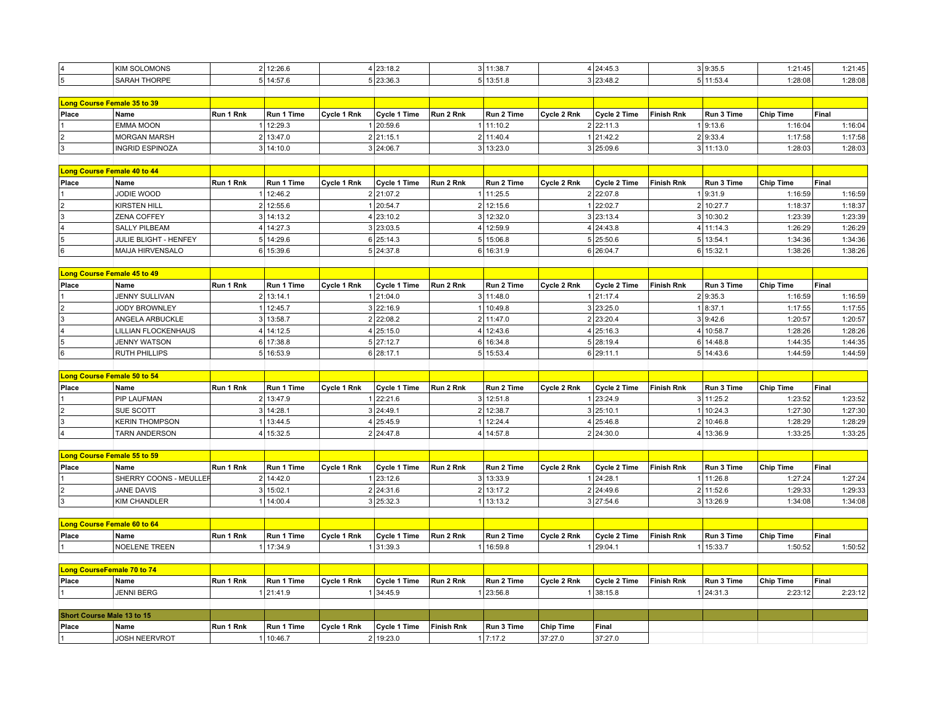| 5<br>5 13:51.8<br>5 11:53.4<br>5 14:57.6<br>5 23:36.3<br>3 23:48.2<br>1:28:08<br>1:28:08<br>SARAH THORPE<br>Long Course Female 35 to 39<br>Place<br>Run 2 Rnk<br>Cycle 2 Rnk<br><b>Finish Rnk</b><br><b>Chip Time</b><br>Name<br>Run 1 Rnk<br>Run 1 Time<br>Cycle 1 Rnk<br>Cycle 1 Time<br>Run 2 Time<br>Cycle 2 Time<br>Run 3 Time<br>Final<br><b>EMMA MOON</b><br>12:29.3<br>1 20:59.6<br>1 11:10.2<br>2 22:11.3<br>19:13.6<br>1:16:04<br>$\mathbf{1}$<br>1:16:04<br>2 13:47.0<br>2 21:15.1<br>2 11:40.4<br>1 21:42.2<br>2 9:33.4<br>1:17:58<br>$\overline{2}$<br><b>MORGAN MARSH</b><br>1:17:58<br>$\overline{\mathbf{3}}$<br>3 14:10.0<br>3 13:23.0<br>3 25:09.6<br>3 11:13.0<br>1:28:03<br>3 24:06.7<br>1:28:03<br>INGRID ESPINOZA<br>Long Course Female 40 to 44<br>Place<br>Run 1 Rnk<br>Cycle 1 Rnk<br>Cycle 1 Time<br>Run 2 Rnk<br>Run 2 Time<br>Cycle 2 Rnk<br>Cycle 2 Time<br><b>Finish Rnk</b><br>Run 3 Time<br><b>Chip Time</b><br>Final<br>Name<br>Run 1 Time<br>JODIE WOOD<br>12:46.2<br>2 21:07.2<br>1 11:25.5<br>2 22:07.8<br>19:31.9<br>1:16:59<br>1:16:59<br>$\mathbf{1}$<br>$\overline{\mathbf{2}}$<br>2<br>12:55.6<br>2 12:15.6<br>1 22:02.7<br>2 10:27.7<br><b>KIRSTEN HILL</b><br>1 20:54.7<br>1:18:37<br>1:18:37<br>$\overline{\mathbf{3}}$<br>3 12:32.0<br>3 23:13.4<br>1:23:39<br>$\mathbf{3}$<br>14:13.2<br>4 23:10.2<br>10:30.2<br>1:23:39<br>ZENA COFFEY<br>3<br>$\vert$ 4<br>4 14:27.3<br>3 23:03.5<br>4 12:59.9<br>4 24:43.8<br>4 11:14.3<br>1:26:29<br><b>SALLY PILBEAM</b><br>1:26:29<br>$\overline{5}$<br>5 14:29.6<br>6 25:14.3<br>5 15:06.8<br>5 25:50.6<br>5 13:54.1<br>1:34:36<br>JULIE BLIGHT - HENFEY<br>1:34:36<br>6<br>MAIJA HIRVENSALO<br>6 15:39.6<br>5 24:37.8<br>6 16:31.9<br>6 26:04.7<br>6 15:32.1<br>1:38:26<br>1:38:26<br>Long Course Female 45 to 49<br>Place<br>Name<br>Run 1 Rnk<br>Run 1 Time<br>Cycle 1 Rnk<br>Cycle 1 Time<br>Run 2 Rnk<br>Run 2 Time<br>Cycle 2 Rnk<br>Cycle 2 Time<br><b>Finish Rnk</b><br>Run 3 Time<br><b>Chip Time</b><br>Final<br>2 13:14.1<br>1:16:59<br><b>JENNY SULLIVAN</b><br>1 21:04.0<br>3 11:48.0<br>1 21:17.4<br>2 9:35.3<br>1:16:59<br>$\overline{\mathbf{c}}$<br>JODY BROWNLEY<br>1 12:45.7<br>3 22:16.9<br>1 10:49.8<br>3 23:25.0<br>1 8:37.1<br>1:17:55<br>1:17:55<br>3 13:58.7<br>2 22:08.2<br>2 11:47.0<br>2 23:20.4<br>3 9:42.6<br>1:20:57<br>ANGELA ARBUCKLE<br>1:20:57<br>4<br>4 12:43.6<br>1:28:26<br>4 14:12.5<br>4 25:15.0<br>4 25:16.3<br>10:58.7<br>1:28:26<br>LILLIAN FLOCKENHAUS<br>$\sqrt{5}$<br>6 17:38.8<br>5 27:12.7<br>6 16:34.8<br>6 14:48.8<br>1:44:35<br><b>JENNY WATSON</b><br>5 28:19.4<br>1:44:35<br>$\overline{6}$<br>1:44:59<br><b>RUTH PHILLIPS</b><br>5 16:53.9<br>6 28:17.1<br>5 15:53.4<br>6 29:11.1<br>5 14:43.6<br>1:44:59<br>Long Course Female 50 to 54<br>Place<br>Run 1 Rnk<br>Run 1 Time<br>Cycle 1 Rnk<br>Cycle 1 Time<br>Run 2 Rnk<br>Run 2 Time<br>Cycle 2 Rnk<br>Cycle 2 Time<br><b>Finish Rnk</b><br>Run 3 Time<br><b>Chip Time</b><br>Final<br>Name<br>2 13:47.9<br>1 22:21.6<br>3 12:51.8<br>1 23:24.9<br>1:23:52<br>PIP LAUFMAN<br>3 11:25.2<br>1:23:52<br>$\overline{2}$<br>SUE SCOTT<br>$\overline{3}$<br>14:28.1<br>3 24:49.1<br>2 12:38.7<br>3 25:10.1<br>10:24.3<br>1:27:30<br>1:27:30<br>$\sqrt{3}$<br>1 12:24.4<br>1 13:44.5<br>4 25:45.9<br>10:46.8<br>1:28:29<br><b>KERIN THOMPSON</b><br>4 25:46.8<br>1:28:29<br>$\overline{2}$<br>$\vert$ 4<br>4 15:32.5<br>2 24:47.8<br>4 14:57.8<br>4 13:36.9<br>1:33:25<br><b>TARN ANDERSON</b><br>2 24:30.0<br>1:33:25<br>Long Course Female 55 to 59<br>Place<br>Run 1 Rnk<br>Run 1 Time<br>Cycle 1 Rnk<br>Cycle 1 Time<br>Run 2 Rnk<br>Run 2 Time<br>Cycle 2 Rnk<br>Cycle 2 Time<br><b>Finish Rnk</b><br>Run 3 Time<br><b>Chip Time</b><br>Final<br>Name<br>SHERRY COONS - MEULLEF<br>2 14:42.0<br>1 23:12.6<br>3 13:33.9<br>1 24:28.1<br>1 11:26.8<br>1:27:24<br>1:27:24<br>$\overline{c}$<br>3 15:02.1<br>2 24:31.6<br>2 13:17.2<br>2 24:49.6<br>1:29:33<br>JANE DAVIS<br>2 11:52.6<br>1:29:33<br>$\overline{3}$<br><b>KIM CHANDLER</b><br>14:00.4<br>3 25:32.3<br>1 13:13.2<br>3 27:54.6<br>3 13:26.9<br>1:34:08<br>1:34:08<br>Long Course Female 60 to 64<br>Place<br>Name<br>Run 1 Rnk<br>Run 1 Time<br>Cycle 1 Rnk<br>Cycle 1 Time<br>Run 2 Rnk<br>Run 2 Time<br>Cycle 2 Rnk<br>Cycle 2 Time<br><b>Finish Rnk</b><br>Run 3 Time<br><b>Chip Time</b><br>Final<br><b>NOELENE TREEN</b><br>17:34.9<br>1:50:52<br>1 31:39.3<br>1 16:59.8<br>1 29:04.1<br>15:33.7<br>1:50:52<br>Long CourseFemale 70 to 74<br>Name<br>Run 1 Rnk<br>Run 1 Time<br>Cycle 1 Rnk<br>Cycle 1 Time<br>Run 2 Rnk<br>Run 2 Time<br>Cycle 2 Rnk<br>Cycle 2 Time<br><b>Finish Rnk</b><br>Run 3 Time<br><b>Chip Time</b><br>Final<br>Place<br>2:23:12<br><b>JENNI BERG</b><br>1 21:41.9<br>1 34:45.9<br>1 23:56.8<br>1 38:15.8<br>2:23:12<br>1 24:31.3<br>Short Course Male 13 to 15<br>Name<br>Run 1 Rnk<br>Run 1 Time<br>Cycle 1 Rnk<br>Cycle 1 Time<br><b>Finish Rnk</b><br>Run 3 Time<br><b>Chip Time</b><br>Final<br>1 10:46.7<br>2 19:23.0<br>1 7:17.2<br>37:27.0<br><b>JOSH NEERVROT</b><br>37:27.0 |       | <b>KIM SOLOMONS</b> | 2 12:26.6 | 4 23:18.2 | 3 11:38.7 | 4 24:45.3 | 3 9:35.5 | 1:21:45 | 1:21:45 |
|--------------------------------------------------------------------------------------------------------------------------------------------------------------------------------------------------------------------------------------------------------------------------------------------------------------------------------------------------------------------------------------------------------------------------------------------------------------------------------------------------------------------------------------------------------------------------------------------------------------------------------------------------------------------------------------------------------------------------------------------------------------------------------------------------------------------------------------------------------------------------------------------------------------------------------------------------------------------------------------------------------------------------------------------------------------------------------------------------------------------------------------------------------------------------------------------------------------------------------------------------------------------------------------------------------------------------------------------------------------------------------------------------------------------------------------------------------------------------------------------------------------------------------------------------------------------------------------------------------------------------------------------------------------------------------------------------------------------------------------------------------------------------------------------------------------------------------------------------------------------------------------------------------------------------------------------------------------------------------------------------------------------------------------------------------------------------------------------------------------------------------------------------------------------------------------------------------------------------------------------------------------------------------------------------------------------------------------------------------------------------------------------------------------------------------------------------------------------------------------------------------------------------------------------------------------------------------------------------------------------------------------------------------------------------------------------------------------------------------------------------------------------------------------------------------------------------------------------------------------------------------------------------------------------------------------------------------------------------------------------------------------------------------------------------------------------------------------------------------------------------------------------------------------------------------------------------------------------------------------------------------------------------------------------------------------------------------------------------------------------------------------------------------------------------------------------------------------------------------------------------------------------------------------------------------------------------------------------------------------------------------------------------------------------------------------------------------------------------------------------------------------------------------------------------------------------------------------------------------------------------------------------------------------------------------------------------------------------------------------------------------------------------------------------------------------------------------------------------------------------------------------------------------------------------------------------------------------------------------------------------------------------------------------------------------------------------------------------------------------------------------------------------------------------------------------------------------------------------------------------------------------------------------------------------------------------------------------------------------------------------------------------------------------------------------------------------------------------------------------------------------------------------------------------------------------------------------------------------------------------------------------------------------------------------------------------------------------------------------------------------------------------------------------------------------------------------|-------|---------------------|-----------|-----------|-----------|-----------|----------|---------|---------|
|                                                                                                                                                                                                                                                                                                                                                                                                                                                                                                                                                                                                                                                                                                                                                                                                                                                                                                                                                                                                                                                                                                                                                                                                                                                                                                                                                                                                                                                                                                                                                                                                                                                                                                                                                                                                                                                                                                                                                                                                                                                                                                                                                                                                                                                                                                                                                                                                                                                                                                                                                                                                                                                                                                                                                                                                                                                                                                                                                                                                                                                                                                                                                                                                                                                                                                                                                                                                                                                                                                                                                                                                                                                                                                                                                                                                                                                                                                                                                                                                                                                                                                                                                                                                                                                                                                                                                                                                                                                                                                                                                                                                                                                                                                                                                                                                                                                                                                                                                                                                                                                                          |       |                     |           |           |           |           |          |         |         |
|                                                                                                                                                                                                                                                                                                                                                                                                                                                                                                                                                                                                                                                                                                                                                                                                                                                                                                                                                                                                                                                                                                                                                                                                                                                                                                                                                                                                                                                                                                                                                                                                                                                                                                                                                                                                                                                                                                                                                                                                                                                                                                                                                                                                                                                                                                                                                                                                                                                                                                                                                                                                                                                                                                                                                                                                                                                                                                                                                                                                                                                                                                                                                                                                                                                                                                                                                                                                                                                                                                                                                                                                                                                                                                                                                                                                                                                                                                                                                                                                                                                                                                                                                                                                                                                                                                                                                                                                                                                                                                                                                                                                                                                                                                                                                                                                                                                                                                                                                                                                                                                                          |       |                     |           |           |           |           |          |         |         |
|                                                                                                                                                                                                                                                                                                                                                                                                                                                                                                                                                                                                                                                                                                                                                                                                                                                                                                                                                                                                                                                                                                                                                                                                                                                                                                                                                                                                                                                                                                                                                                                                                                                                                                                                                                                                                                                                                                                                                                                                                                                                                                                                                                                                                                                                                                                                                                                                                                                                                                                                                                                                                                                                                                                                                                                                                                                                                                                                                                                                                                                                                                                                                                                                                                                                                                                                                                                                                                                                                                                                                                                                                                                                                                                                                                                                                                                                                                                                                                                                                                                                                                                                                                                                                                                                                                                                                                                                                                                                                                                                                                                                                                                                                                                                                                                                                                                                                                                                                                                                                                                                          |       |                     |           |           |           |           |          |         |         |
|                                                                                                                                                                                                                                                                                                                                                                                                                                                                                                                                                                                                                                                                                                                                                                                                                                                                                                                                                                                                                                                                                                                                                                                                                                                                                                                                                                                                                                                                                                                                                                                                                                                                                                                                                                                                                                                                                                                                                                                                                                                                                                                                                                                                                                                                                                                                                                                                                                                                                                                                                                                                                                                                                                                                                                                                                                                                                                                                                                                                                                                                                                                                                                                                                                                                                                                                                                                                                                                                                                                                                                                                                                                                                                                                                                                                                                                                                                                                                                                                                                                                                                                                                                                                                                                                                                                                                                                                                                                                                                                                                                                                                                                                                                                                                                                                                                                                                                                                                                                                                                                                          |       |                     |           |           |           |           |          |         |         |
|                                                                                                                                                                                                                                                                                                                                                                                                                                                                                                                                                                                                                                                                                                                                                                                                                                                                                                                                                                                                                                                                                                                                                                                                                                                                                                                                                                                                                                                                                                                                                                                                                                                                                                                                                                                                                                                                                                                                                                                                                                                                                                                                                                                                                                                                                                                                                                                                                                                                                                                                                                                                                                                                                                                                                                                                                                                                                                                                                                                                                                                                                                                                                                                                                                                                                                                                                                                                                                                                                                                                                                                                                                                                                                                                                                                                                                                                                                                                                                                                                                                                                                                                                                                                                                                                                                                                                                                                                                                                                                                                                                                                                                                                                                                                                                                                                                                                                                                                                                                                                                                                          |       |                     |           |           |           |           |          |         |         |
|                                                                                                                                                                                                                                                                                                                                                                                                                                                                                                                                                                                                                                                                                                                                                                                                                                                                                                                                                                                                                                                                                                                                                                                                                                                                                                                                                                                                                                                                                                                                                                                                                                                                                                                                                                                                                                                                                                                                                                                                                                                                                                                                                                                                                                                                                                                                                                                                                                                                                                                                                                                                                                                                                                                                                                                                                                                                                                                                                                                                                                                                                                                                                                                                                                                                                                                                                                                                                                                                                                                                                                                                                                                                                                                                                                                                                                                                                                                                                                                                                                                                                                                                                                                                                                                                                                                                                                                                                                                                                                                                                                                                                                                                                                                                                                                                                                                                                                                                                                                                                                                                          |       |                     |           |           |           |           |          |         |         |
|                                                                                                                                                                                                                                                                                                                                                                                                                                                                                                                                                                                                                                                                                                                                                                                                                                                                                                                                                                                                                                                                                                                                                                                                                                                                                                                                                                                                                                                                                                                                                                                                                                                                                                                                                                                                                                                                                                                                                                                                                                                                                                                                                                                                                                                                                                                                                                                                                                                                                                                                                                                                                                                                                                                                                                                                                                                                                                                                                                                                                                                                                                                                                                                                                                                                                                                                                                                                                                                                                                                                                                                                                                                                                                                                                                                                                                                                                                                                                                                                                                                                                                                                                                                                                                                                                                                                                                                                                                                                                                                                                                                                                                                                                                                                                                                                                                                                                                                                                                                                                                                                          |       |                     |           |           |           |           |          |         |         |
|                                                                                                                                                                                                                                                                                                                                                                                                                                                                                                                                                                                                                                                                                                                                                                                                                                                                                                                                                                                                                                                                                                                                                                                                                                                                                                                                                                                                                                                                                                                                                                                                                                                                                                                                                                                                                                                                                                                                                                                                                                                                                                                                                                                                                                                                                                                                                                                                                                                                                                                                                                                                                                                                                                                                                                                                                                                                                                                                                                                                                                                                                                                                                                                                                                                                                                                                                                                                                                                                                                                                                                                                                                                                                                                                                                                                                                                                                                                                                                                                                                                                                                                                                                                                                                                                                                                                                                                                                                                                                                                                                                                                                                                                                                                                                                                                                                                                                                                                                                                                                                                                          |       |                     |           |           |           |           |          |         |         |
|                                                                                                                                                                                                                                                                                                                                                                                                                                                                                                                                                                                                                                                                                                                                                                                                                                                                                                                                                                                                                                                                                                                                                                                                                                                                                                                                                                                                                                                                                                                                                                                                                                                                                                                                                                                                                                                                                                                                                                                                                                                                                                                                                                                                                                                                                                                                                                                                                                                                                                                                                                                                                                                                                                                                                                                                                                                                                                                                                                                                                                                                                                                                                                                                                                                                                                                                                                                                                                                                                                                                                                                                                                                                                                                                                                                                                                                                                                                                                                                                                                                                                                                                                                                                                                                                                                                                                                                                                                                                                                                                                                                                                                                                                                                                                                                                                                                                                                                                                                                                                                                                          |       |                     |           |           |           |           |          |         |         |
|                                                                                                                                                                                                                                                                                                                                                                                                                                                                                                                                                                                                                                                                                                                                                                                                                                                                                                                                                                                                                                                                                                                                                                                                                                                                                                                                                                                                                                                                                                                                                                                                                                                                                                                                                                                                                                                                                                                                                                                                                                                                                                                                                                                                                                                                                                                                                                                                                                                                                                                                                                                                                                                                                                                                                                                                                                                                                                                                                                                                                                                                                                                                                                                                                                                                                                                                                                                                                                                                                                                                                                                                                                                                                                                                                                                                                                                                                                                                                                                                                                                                                                                                                                                                                                                                                                                                                                                                                                                                                                                                                                                                                                                                                                                                                                                                                                                                                                                                                                                                                                                                          |       |                     |           |           |           |           |          |         |         |
|                                                                                                                                                                                                                                                                                                                                                                                                                                                                                                                                                                                                                                                                                                                                                                                                                                                                                                                                                                                                                                                                                                                                                                                                                                                                                                                                                                                                                                                                                                                                                                                                                                                                                                                                                                                                                                                                                                                                                                                                                                                                                                                                                                                                                                                                                                                                                                                                                                                                                                                                                                                                                                                                                                                                                                                                                                                                                                                                                                                                                                                                                                                                                                                                                                                                                                                                                                                                                                                                                                                                                                                                                                                                                                                                                                                                                                                                                                                                                                                                                                                                                                                                                                                                                                                                                                                                                                                                                                                                                                                                                                                                                                                                                                                                                                                                                                                                                                                                                                                                                                                                          |       |                     |           |           |           |           |          |         |         |
|                                                                                                                                                                                                                                                                                                                                                                                                                                                                                                                                                                                                                                                                                                                                                                                                                                                                                                                                                                                                                                                                                                                                                                                                                                                                                                                                                                                                                                                                                                                                                                                                                                                                                                                                                                                                                                                                                                                                                                                                                                                                                                                                                                                                                                                                                                                                                                                                                                                                                                                                                                                                                                                                                                                                                                                                                                                                                                                                                                                                                                                                                                                                                                                                                                                                                                                                                                                                                                                                                                                                                                                                                                                                                                                                                                                                                                                                                                                                                                                                                                                                                                                                                                                                                                                                                                                                                                                                                                                                                                                                                                                                                                                                                                                                                                                                                                                                                                                                                                                                                                                                          |       |                     |           |           |           |           |          |         |         |
|                                                                                                                                                                                                                                                                                                                                                                                                                                                                                                                                                                                                                                                                                                                                                                                                                                                                                                                                                                                                                                                                                                                                                                                                                                                                                                                                                                                                                                                                                                                                                                                                                                                                                                                                                                                                                                                                                                                                                                                                                                                                                                                                                                                                                                                                                                                                                                                                                                                                                                                                                                                                                                                                                                                                                                                                                                                                                                                                                                                                                                                                                                                                                                                                                                                                                                                                                                                                                                                                                                                                                                                                                                                                                                                                                                                                                                                                                                                                                                                                                                                                                                                                                                                                                                                                                                                                                                                                                                                                                                                                                                                                                                                                                                                                                                                                                                                                                                                                                                                                                                                                          |       |                     |           |           |           |           |          |         |         |
|                                                                                                                                                                                                                                                                                                                                                                                                                                                                                                                                                                                                                                                                                                                                                                                                                                                                                                                                                                                                                                                                                                                                                                                                                                                                                                                                                                                                                                                                                                                                                                                                                                                                                                                                                                                                                                                                                                                                                                                                                                                                                                                                                                                                                                                                                                                                                                                                                                                                                                                                                                                                                                                                                                                                                                                                                                                                                                                                                                                                                                                                                                                                                                                                                                                                                                                                                                                                                                                                                                                                                                                                                                                                                                                                                                                                                                                                                                                                                                                                                                                                                                                                                                                                                                                                                                                                                                                                                                                                                                                                                                                                                                                                                                                                                                                                                                                                                                                                                                                                                                                                          |       |                     |           |           |           |           |          |         |         |
|                                                                                                                                                                                                                                                                                                                                                                                                                                                                                                                                                                                                                                                                                                                                                                                                                                                                                                                                                                                                                                                                                                                                                                                                                                                                                                                                                                                                                                                                                                                                                                                                                                                                                                                                                                                                                                                                                                                                                                                                                                                                                                                                                                                                                                                                                                                                                                                                                                                                                                                                                                                                                                                                                                                                                                                                                                                                                                                                                                                                                                                                                                                                                                                                                                                                                                                                                                                                                                                                                                                                                                                                                                                                                                                                                                                                                                                                                                                                                                                                                                                                                                                                                                                                                                                                                                                                                                                                                                                                                                                                                                                                                                                                                                                                                                                                                                                                                                                                                                                                                                                                          |       |                     |           |           |           |           |          |         |         |
|                                                                                                                                                                                                                                                                                                                                                                                                                                                                                                                                                                                                                                                                                                                                                                                                                                                                                                                                                                                                                                                                                                                                                                                                                                                                                                                                                                                                                                                                                                                                                                                                                                                                                                                                                                                                                                                                                                                                                                                                                                                                                                                                                                                                                                                                                                                                                                                                                                                                                                                                                                                                                                                                                                                                                                                                                                                                                                                                                                                                                                                                                                                                                                                                                                                                                                                                                                                                                                                                                                                                                                                                                                                                                                                                                                                                                                                                                                                                                                                                                                                                                                                                                                                                                                                                                                                                                                                                                                                                                                                                                                                                                                                                                                                                                                                                                                                                                                                                                                                                                                                                          |       |                     |           |           |           |           |          |         |         |
|                                                                                                                                                                                                                                                                                                                                                                                                                                                                                                                                                                                                                                                                                                                                                                                                                                                                                                                                                                                                                                                                                                                                                                                                                                                                                                                                                                                                                                                                                                                                                                                                                                                                                                                                                                                                                                                                                                                                                                                                                                                                                                                                                                                                                                                                                                                                                                                                                                                                                                                                                                                                                                                                                                                                                                                                                                                                                                                                                                                                                                                                                                                                                                                                                                                                                                                                                                                                                                                                                                                                                                                                                                                                                                                                                                                                                                                                                                                                                                                                                                                                                                                                                                                                                                                                                                                                                                                                                                                                                                                                                                                                                                                                                                                                                                                                                                                                                                                                                                                                                                                                          |       |                     |           |           |           |           |          |         |         |
|                                                                                                                                                                                                                                                                                                                                                                                                                                                                                                                                                                                                                                                                                                                                                                                                                                                                                                                                                                                                                                                                                                                                                                                                                                                                                                                                                                                                                                                                                                                                                                                                                                                                                                                                                                                                                                                                                                                                                                                                                                                                                                                                                                                                                                                                                                                                                                                                                                                                                                                                                                                                                                                                                                                                                                                                                                                                                                                                                                                                                                                                                                                                                                                                                                                                                                                                                                                                                                                                                                                                                                                                                                                                                                                                                                                                                                                                                                                                                                                                                                                                                                                                                                                                                                                                                                                                                                                                                                                                                                                                                                                                                                                                                                                                                                                                                                                                                                                                                                                                                                                                          |       |                     |           |           |           |           |          |         |         |
|                                                                                                                                                                                                                                                                                                                                                                                                                                                                                                                                                                                                                                                                                                                                                                                                                                                                                                                                                                                                                                                                                                                                                                                                                                                                                                                                                                                                                                                                                                                                                                                                                                                                                                                                                                                                                                                                                                                                                                                                                                                                                                                                                                                                                                                                                                                                                                                                                                                                                                                                                                                                                                                                                                                                                                                                                                                                                                                                                                                                                                                                                                                                                                                                                                                                                                                                                                                                                                                                                                                                                                                                                                                                                                                                                                                                                                                                                                                                                                                                                                                                                                                                                                                                                                                                                                                                                                                                                                                                                                                                                                                                                                                                                                                                                                                                                                                                                                                                                                                                                                                                          |       |                     |           |           |           |           |          |         |         |
|                                                                                                                                                                                                                                                                                                                                                                                                                                                                                                                                                                                                                                                                                                                                                                                                                                                                                                                                                                                                                                                                                                                                                                                                                                                                                                                                                                                                                                                                                                                                                                                                                                                                                                                                                                                                                                                                                                                                                                                                                                                                                                                                                                                                                                                                                                                                                                                                                                                                                                                                                                                                                                                                                                                                                                                                                                                                                                                                                                                                                                                                                                                                                                                                                                                                                                                                                                                                                                                                                                                                                                                                                                                                                                                                                                                                                                                                                                                                                                                                                                                                                                                                                                                                                                                                                                                                                                                                                                                                                                                                                                                                                                                                                                                                                                                                                                                                                                                                                                                                                                                                          |       |                     |           |           |           |           |          |         |         |
|                                                                                                                                                                                                                                                                                                                                                                                                                                                                                                                                                                                                                                                                                                                                                                                                                                                                                                                                                                                                                                                                                                                                                                                                                                                                                                                                                                                                                                                                                                                                                                                                                                                                                                                                                                                                                                                                                                                                                                                                                                                                                                                                                                                                                                                                                                                                                                                                                                                                                                                                                                                                                                                                                                                                                                                                                                                                                                                                                                                                                                                                                                                                                                                                                                                                                                                                                                                                                                                                                                                                                                                                                                                                                                                                                                                                                                                                                                                                                                                                                                                                                                                                                                                                                                                                                                                                                                                                                                                                                                                                                                                                                                                                                                                                                                                                                                                                                                                                                                                                                                                                          |       |                     |           |           |           |           |          |         |         |
|                                                                                                                                                                                                                                                                                                                                                                                                                                                                                                                                                                                                                                                                                                                                                                                                                                                                                                                                                                                                                                                                                                                                                                                                                                                                                                                                                                                                                                                                                                                                                                                                                                                                                                                                                                                                                                                                                                                                                                                                                                                                                                                                                                                                                                                                                                                                                                                                                                                                                                                                                                                                                                                                                                                                                                                                                                                                                                                                                                                                                                                                                                                                                                                                                                                                                                                                                                                                                                                                                                                                                                                                                                                                                                                                                                                                                                                                                                                                                                                                                                                                                                                                                                                                                                                                                                                                                                                                                                                                                                                                                                                                                                                                                                                                                                                                                                                                                                                                                                                                                                                                          |       |                     |           |           |           |           |          |         |         |
|                                                                                                                                                                                                                                                                                                                                                                                                                                                                                                                                                                                                                                                                                                                                                                                                                                                                                                                                                                                                                                                                                                                                                                                                                                                                                                                                                                                                                                                                                                                                                                                                                                                                                                                                                                                                                                                                                                                                                                                                                                                                                                                                                                                                                                                                                                                                                                                                                                                                                                                                                                                                                                                                                                                                                                                                                                                                                                                                                                                                                                                                                                                                                                                                                                                                                                                                                                                                                                                                                                                                                                                                                                                                                                                                                                                                                                                                                                                                                                                                                                                                                                                                                                                                                                                                                                                                                                                                                                                                                                                                                                                                                                                                                                                                                                                                                                                                                                                                                                                                                                                                          |       |                     |           |           |           |           |          |         |         |
|                                                                                                                                                                                                                                                                                                                                                                                                                                                                                                                                                                                                                                                                                                                                                                                                                                                                                                                                                                                                                                                                                                                                                                                                                                                                                                                                                                                                                                                                                                                                                                                                                                                                                                                                                                                                                                                                                                                                                                                                                                                                                                                                                                                                                                                                                                                                                                                                                                                                                                                                                                                                                                                                                                                                                                                                                                                                                                                                                                                                                                                                                                                                                                                                                                                                                                                                                                                                                                                                                                                                                                                                                                                                                                                                                                                                                                                                                                                                                                                                                                                                                                                                                                                                                                                                                                                                                                                                                                                                                                                                                                                                                                                                                                                                                                                                                                                                                                                                                                                                                                                                          |       |                     |           |           |           |           |          |         |         |
|                                                                                                                                                                                                                                                                                                                                                                                                                                                                                                                                                                                                                                                                                                                                                                                                                                                                                                                                                                                                                                                                                                                                                                                                                                                                                                                                                                                                                                                                                                                                                                                                                                                                                                                                                                                                                                                                                                                                                                                                                                                                                                                                                                                                                                                                                                                                                                                                                                                                                                                                                                                                                                                                                                                                                                                                                                                                                                                                                                                                                                                                                                                                                                                                                                                                                                                                                                                                                                                                                                                                                                                                                                                                                                                                                                                                                                                                                                                                                                                                                                                                                                                                                                                                                                                                                                                                                                                                                                                                                                                                                                                                                                                                                                                                                                                                                                                                                                                                                                                                                                                                          |       |                     |           |           |           |           |          |         |         |
|                                                                                                                                                                                                                                                                                                                                                                                                                                                                                                                                                                                                                                                                                                                                                                                                                                                                                                                                                                                                                                                                                                                                                                                                                                                                                                                                                                                                                                                                                                                                                                                                                                                                                                                                                                                                                                                                                                                                                                                                                                                                                                                                                                                                                                                                                                                                                                                                                                                                                                                                                                                                                                                                                                                                                                                                                                                                                                                                                                                                                                                                                                                                                                                                                                                                                                                                                                                                                                                                                                                                                                                                                                                                                                                                                                                                                                                                                                                                                                                                                                                                                                                                                                                                                                                                                                                                                                                                                                                                                                                                                                                                                                                                                                                                                                                                                                                                                                                                                                                                                                                                          |       |                     |           |           |           |           |          |         |         |
|                                                                                                                                                                                                                                                                                                                                                                                                                                                                                                                                                                                                                                                                                                                                                                                                                                                                                                                                                                                                                                                                                                                                                                                                                                                                                                                                                                                                                                                                                                                                                                                                                                                                                                                                                                                                                                                                                                                                                                                                                                                                                                                                                                                                                                                                                                                                                                                                                                                                                                                                                                                                                                                                                                                                                                                                                                                                                                                                                                                                                                                                                                                                                                                                                                                                                                                                                                                                                                                                                                                                                                                                                                                                                                                                                                                                                                                                                                                                                                                                                                                                                                                                                                                                                                                                                                                                                                                                                                                                                                                                                                                                                                                                                                                                                                                                                                                                                                                                                                                                                                                                          |       |                     |           |           |           |           |          |         |         |
|                                                                                                                                                                                                                                                                                                                                                                                                                                                                                                                                                                                                                                                                                                                                                                                                                                                                                                                                                                                                                                                                                                                                                                                                                                                                                                                                                                                                                                                                                                                                                                                                                                                                                                                                                                                                                                                                                                                                                                                                                                                                                                                                                                                                                                                                                                                                                                                                                                                                                                                                                                                                                                                                                                                                                                                                                                                                                                                                                                                                                                                                                                                                                                                                                                                                                                                                                                                                                                                                                                                                                                                                                                                                                                                                                                                                                                                                                                                                                                                                                                                                                                                                                                                                                                                                                                                                                                                                                                                                                                                                                                                                                                                                                                                                                                                                                                                                                                                                                                                                                                                                          |       |                     |           |           |           |           |          |         |         |
|                                                                                                                                                                                                                                                                                                                                                                                                                                                                                                                                                                                                                                                                                                                                                                                                                                                                                                                                                                                                                                                                                                                                                                                                                                                                                                                                                                                                                                                                                                                                                                                                                                                                                                                                                                                                                                                                                                                                                                                                                                                                                                                                                                                                                                                                                                                                                                                                                                                                                                                                                                                                                                                                                                                                                                                                                                                                                                                                                                                                                                                                                                                                                                                                                                                                                                                                                                                                                                                                                                                                                                                                                                                                                                                                                                                                                                                                                                                                                                                                                                                                                                                                                                                                                                                                                                                                                                                                                                                                                                                                                                                                                                                                                                                                                                                                                                                                                                                                                                                                                                                                          |       |                     |           |           |           |           |          |         |         |
|                                                                                                                                                                                                                                                                                                                                                                                                                                                                                                                                                                                                                                                                                                                                                                                                                                                                                                                                                                                                                                                                                                                                                                                                                                                                                                                                                                                                                                                                                                                                                                                                                                                                                                                                                                                                                                                                                                                                                                                                                                                                                                                                                                                                                                                                                                                                                                                                                                                                                                                                                                                                                                                                                                                                                                                                                                                                                                                                                                                                                                                                                                                                                                                                                                                                                                                                                                                                                                                                                                                                                                                                                                                                                                                                                                                                                                                                                                                                                                                                                                                                                                                                                                                                                                                                                                                                                                                                                                                                                                                                                                                                                                                                                                                                                                                                                                                                                                                                                                                                                                                                          |       |                     |           |           |           |           |          |         |         |
|                                                                                                                                                                                                                                                                                                                                                                                                                                                                                                                                                                                                                                                                                                                                                                                                                                                                                                                                                                                                                                                                                                                                                                                                                                                                                                                                                                                                                                                                                                                                                                                                                                                                                                                                                                                                                                                                                                                                                                                                                                                                                                                                                                                                                                                                                                                                                                                                                                                                                                                                                                                                                                                                                                                                                                                                                                                                                                                                                                                                                                                                                                                                                                                                                                                                                                                                                                                                                                                                                                                                                                                                                                                                                                                                                                                                                                                                                                                                                                                                                                                                                                                                                                                                                                                                                                                                                                                                                                                                                                                                                                                                                                                                                                                                                                                                                                                                                                                                                                                                                                                                          |       |                     |           |           |           |           |          |         |         |
|                                                                                                                                                                                                                                                                                                                                                                                                                                                                                                                                                                                                                                                                                                                                                                                                                                                                                                                                                                                                                                                                                                                                                                                                                                                                                                                                                                                                                                                                                                                                                                                                                                                                                                                                                                                                                                                                                                                                                                                                                                                                                                                                                                                                                                                                                                                                                                                                                                                                                                                                                                                                                                                                                                                                                                                                                                                                                                                                                                                                                                                                                                                                                                                                                                                                                                                                                                                                                                                                                                                                                                                                                                                                                                                                                                                                                                                                                                                                                                                                                                                                                                                                                                                                                                                                                                                                                                                                                                                                                                                                                                                                                                                                                                                                                                                                                                                                                                                                                                                                                                                                          |       |                     |           |           |           |           |          |         |         |
|                                                                                                                                                                                                                                                                                                                                                                                                                                                                                                                                                                                                                                                                                                                                                                                                                                                                                                                                                                                                                                                                                                                                                                                                                                                                                                                                                                                                                                                                                                                                                                                                                                                                                                                                                                                                                                                                                                                                                                                                                                                                                                                                                                                                                                                                                                                                                                                                                                                                                                                                                                                                                                                                                                                                                                                                                                                                                                                                                                                                                                                                                                                                                                                                                                                                                                                                                                                                                                                                                                                                                                                                                                                                                                                                                                                                                                                                                                                                                                                                                                                                                                                                                                                                                                                                                                                                                                                                                                                                                                                                                                                                                                                                                                                                                                                                                                                                                                                                                                                                                                                                          |       |                     |           |           |           |           |          |         |         |
|                                                                                                                                                                                                                                                                                                                                                                                                                                                                                                                                                                                                                                                                                                                                                                                                                                                                                                                                                                                                                                                                                                                                                                                                                                                                                                                                                                                                                                                                                                                                                                                                                                                                                                                                                                                                                                                                                                                                                                                                                                                                                                                                                                                                                                                                                                                                                                                                                                                                                                                                                                                                                                                                                                                                                                                                                                                                                                                                                                                                                                                                                                                                                                                                                                                                                                                                                                                                                                                                                                                                                                                                                                                                                                                                                                                                                                                                                                                                                                                                                                                                                                                                                                                                                                                                                                                                                                                                                                                                                                                                                                                                                                                                                                                                                                                                                                                                                                                                                                                                                                                                          |       |                     |           |           |           |           |          |         |         |
|                                                                                                                                                                                                                                                                                                                                                                                                                                                                                                                                                                                                                                                                                                                                                                                                                                                                                                                                                                                                                                                                                                                                                                                                                                                                                                                                                                                                                                                                                                                                                                                                                                                                                                                                                                                                                                                                                                                                                                                                                                                                                                                                                                                                                                                                                                                                                                                                                                                                                                                                                                                                                                                                                                                                                                                                                                                                                                                                                                                                                                                                                                                                                                                                                                                                                                                                                                                                                                                                                                                                                                                                                                                                                                                                                                                                                                                                                                                                                                                                                                                                                                                                                                                                                                                                                                                                                                                                                                                                                                                                                                                                                                                                                                                                                                                                                                                                                                                                                                                                                                                                          |       |                     |           |           |           |           |          |         |         |
|                                                                                                                                                                                                                                                                                                                                                                                                                                                                                                                                                                                                                                                                                                                                                                                                                                                                                                                                                                                                                                                                                                                                                                                                                                                                                                                                                                                                                                                                                                                                                                                                                                                                                                                                                                                                                                                                                                                                                                                                                                                                                                                                                                                                                                                                                                                                                                                                                                                                                                                                                                                                                                                                                                                                                                                                                                                                                                                                                                                                                                                                                                                                                                                                                                                                                                                                                                                                                                                                                                                                                                                                                                                                                                                                                                                                                                                                                                                                                                                                                                                                                                                                                                                                                                                                                                                                                                                                                                                                                                                                                                                                                                                                                                                                                                                                                                                                                                                                                                                                                                                                          |       |                     |           |           |           |           |          |         |         |
|                                                                                                                                                                                                                                                                                                                                                                                                                                                                                                                                                                                                                                                                                                                                                                                                                                                                                                                                                                                                                                                                                                                                                                                                                                                                                                                                                                                                                                                                                                                                                                                                                                                                                                                                                                                                                                                                                                                                                                                                                                                                                                                                                                                                                                                                                                                                                                                                                                                                                                                                                                                                                                                                                                                                                                                                                                                                                                                                                                                                                                                                                                                                                                                                                                                                                                                                                                                                                                                                                                                                                                                                                                                                                                                                                                                                                                                                                                                                                                                                                                                                                                                                                                                                                                                                                                                                                                                                                                                                                                                                                                                                                                                                                                                                                                                                                                                                                                                                                                                                                                                                          |       |                     |           |           |           |           |          |         |         |
|                                                                                                                                                                                                                                                                                                                                                                                                                                                                                                                                                                                                                                                                                                                                                                                                                                                                                                                                                                                                                                                                                                                                                                                                                                                                                                                                                                                                                                                                                                                                                                                                                                                                                                                                                                                                                                                                                                                                                                                                                                                                                                                                                                                                                                                                                                                                                                                                                                                                                                                                                                                                                                                                                                                                                                                                                                                                                                                                                                                                                                                                                                                                                                                                                                                                                                                                                                                                                                                                                                                                                                                                                                                                                                                                                                                                                                                                                                                                                                                                                                                                                                                                                                                                                                                                                                                                                                                                                                                                                                                                                                                                                                                                                                                                                                                                                                                                                                                                                                                                                                                                          |       |                     |           |           |           |           |          |         |         |
|                                                                                                                                                                                                                                                                                                                                                                                                                                                                                                                                                                                                                                                                                                                                                                                                                                                                                                                                                                                                                                                                                                                                                                                                                                                                                                                                                                                                                                                                                                                                                                                                                                                                                                                                                                                                                                                                                                                                                                                                                                                                                                                                                                                                                                                                                                                                                                                                                                                                                                                                                                                                                                                                                                                                                                                                                                                                                                                                                                                                                                                                                                                                                                                                                                                                                                                                                                                                                                                                                                                                                                                                                                                                                                                                                                                                                                                                                                                                                                                                                                                                                                                                                                                                                                                                                                                                                                                                                                                                                                                                                                                                                                                                                                                                                                                                                                                                                                                                                                                                                                                                          |       |                     |           |           |           |           |          |         |         |
|                                                                                                                                                                                                                                                                                                                                                                                                                                                                                                                                                                                                                                                                                                                                                                                                                                                                                                                                                                                                                                                                                                                                                                                                                                                                                                                                                                                                                                                                                                                                                                                                                                                                                                                                                                                                                                                                                                                                                                                                                                                                                                                                                                                                                                                                                                                                                                                                                                                                                                                                                                                                                                                                                                                                                                                                                                                                                                                                                                                                                                                                                                                                                                                                                                                                                                                                                                                                                                                                                                                                                                                                                                                                                                                                                                                                                                                                                                                                                                                                                                                                                                                                                                                                                                                                                                                                                                                                                                                                                                                                                                                                                                                                                                                                                                                                                                                                                                                                                                                                                                                                          |       |                     |           |           |           |           |          |         |         |
|                                                                                                                                                                                                                                                                                                                                                                                                                                                                                                                                                                                                                                                                                                                                                                                                                                                                                                                                                                                                                                                                                                                                                                                                                                                                                                                                                                                                                                                                                                                                                                                                                                                                                                                                                                                                                                                                                                                                                                                                                                                                                                                                                                                                                                                                                                                                                                                                                                                                                                                                                                                                                                                                                                                                                                                                                                                                                                                                                                                                                                                                                                                                                                                                                                                                                                                                                                                                                                                                                                                                                                                                                                                                                                                                                                                                                                                                                                                                                                                                                                                                                                                                                                                                                                                                                                                                                                                                                                                                                                                                                                                                                                                                                                                                                                                                                                                                                                                                                                                                                                                                          |       |                     |           |           |           |           |          |         |         |
|                                                                                                                                                                                                                                                                                                                                                                                                                                                                                                                                                                                                                                                                                                                                                                                                                                                                                                                                                                                                                                                                                                                                                                                                                                                                                                                                                                                                                                                                                                                                                                                                                                                                                                                                                                                                                                                                                                                                                                                                                                                                                                                                                                                                                                                                                                                                                                                                                                                                                                                                                                                                                                                                                                                                                                                                                                                                                                                                                                                                                                                                                                                                                                                                                                                                                                                                                                                                                                                                                                                                                                                                                                                                                                                                                                                                                                                                                                                                                                                                                                                                                                                                                                                                                                                                                                                                                                                                                                                                                                                                                                                                                                                                                                                                                                                                                                                                                                                                                                                                                                                                          |       |                     |           |           |           |           |          |         |         |
|                                                                                                                                                                                                                                                                                                                                                                                                                                                                                                                                                                                                                                                                                                                                                                                                                                                                                                                                                                                                                                                                                                                                                                                                                                                                                                                                                                                                                                                                                                                                                                                                                                                                                                                                                                                                                                                                                                                                                                                                                                                                                                                                                                                                                                                                                                                                                                                                                                                                                                                                                                                                                                                                                                                                                                                                                                                                                                                                                                                                                                                                                                                                                                                                                                                                                                                                                                                                                                                                                                                                                                                                                                                                                                                                                                                                                                                                                                                                                                                                                                                                                                                                                                                                                                                                                                                                                                                                                                                                                                                                                                                                                                                                                                                                                                                                                                                                                                                                                                                                                                                                          |       |                     |           |           |           |           |          |         |         |
|                                                                                                                                                                                                                                                                                                                                                                                                                                                                                                                                                                                                                                                                                                                                                                                                                                                                                                                                                                                                                                                                                                                                                                                                                                                                                                                                                                                                                                                                                                                                                                                                                                                                                                                                                                                                                                                                                                                                                                                                                                                                                                                                                                                                                                                                                                                                                                                                                                                                                                                                                                                                                                                                                                                                                                                                                                                                                                                                                                                                                                                                                                                                                                                                                                                                                                                                                                                                                                                                                                                                                                                                                                                                                                                                                                                                                                                                                                                                                                                                                                                                                                                                                                                                                                                                                                                                                                                                                                                                                                                                                                                                                                                                                                                                                                                                                                                                                                                                                                                                                                                                          |       |                     |           |           |           |           |          |         |         |
|                                                                                                                                                                                                                                                                                                                                                                                                                                                                                                                                                                                                                                                                                                                                                                                                                                                                                                                                                                                                                                                                                                                                                                                                                                                                                                                                                                                                                                                                                                                                                                                                                                                                                                                                                                                                                                                                                                                                                                                                                                                                                                                                                                                                                                                                                                                                                                                                                                                                                                                                                                                                                                                                                                                                                                                                                                                                                                                                                                                                                                                                                                                                                                                                                                                                                                                                                                                                                                                                                                                                                                                                                                                                                                                                                                                                                                                                                                                                                                                                                                                                                                                                                                                                                                                                                                                                                                                                                                                                                                                                                                                                                                                                                                                                                                                                                                                                                                                                                                                                                                                                          |       |                     |           |           |           |           |          |         |         |
|                                                                                                                                                                                                                                                                                                                                                                                                                                                                                                                                                                                                                                                                                                                                                                                                                                                                                                                                                                                                                                                                                                                                                                                                                                                                                                                                                                                                                                                                                                                                                                                                                                                                                                                                                                                                                                                                                                                                                                                                                                                                                                                                                                                                                                                                                                                                                                                                                                                                                                                                                                                                                                                                                                                                                                                                                                                                                                                                                                                                                                                                                                                                                                                                                                                                                                                                                                                                                                                                                                                                                                                                                                                                                                                                                                                                                                                                                                                                                                                                                                                                                                                                                                                                                                                                                                                                                                                                                                                                                                                                                                                                                                                                                                                                                                                                                                                                                                                                                                                                                                                                          |       |                     |           |           |           |           |          |         |         |
|                                                                                                                                                                                                                                                                                                                                                                                                                                                                                                                                                                                                                                                                                                                                                                                                                                                                                                                                                                                                                                                                                                                                                                                                                                                                                                                                                                                                                                                                                                                                                                                                                                                                                                                                                                                                                                                                                                                                                                                                                                                                                                                                                                                                                                                                                                                                                                                                                                                                                                                                                                                                                                                                                                                                                                                                                                                                                                                                                                                                                                                                                                                                                                                                                                                                                                                                                                                                                                                                                                                                                                                                                                                                                                                                                                                                                                                                                                                                                                                                                                                                                                                                                                                                                                                                                                                                                                                                                                                                                                                                                                                                                                                                                                                                                                                                                                                                                                                                                                                                                                                                          |       |                     |           |           |           |           |          |         |         |
|                                                                                                                                                                                                                                                                                                                                                                                                                                                                                                                                                                                                                                                                                                                                                                                                                                                                                                                                                                                                                                                                                                                                                                                                                                                                                                                                                                                                                                                                                                                                                                                                                                                                                                                                                                                                                                                                                                                                                                                                                                                                                                                                                                                                                                                                                                                                                                                                                                                                                                                                                                                                                                                                                                                                                                                                                                                                                                                                                                                                                                                                                                                                                                                                                                                                                                                                                                                                                                                                                                                                                                                                                                                                                                                                                                                                                                                                                                                                                                                                                                                                                                                                                                                                                                                                                                                                                                                                                                                                                                                                                                                                                                                                                                                                                                                                                                                                                                                                                                                                                                                                          |       |                     |           |           |           |           |          |         |         |
|                                                                                                                                                                                                                                                                                                                                                                                                                                                                                                                                                                                                                                                                                                                                                                                                                                                                                                                                                                                                                                                                                                                                                                                                                                                                                                                                                                                                                                                                                                                                                                                                                                                                                                                                                                                                                                                                                                                                                                                                                                                                                                                                                                                                                                                                                                                                                                                                                                                                                                                                                                                                                                                                                                                                                                                                                                                                                                                                                                                                                                                                                                                                                                                                                                                                                                                                                                                                                                                                                                                                                                                                                                                                                                                                                                                                                                                                                                                                                                                                                                                                                                                                                                                                                                                                                                                                                                                                                                                                                                                                                                                                                                                                                                                                                                                                                                                                                                                                                                                                                                                                          |       |                     |           |           |           |           |          |         |         |
|                                                                                                                                                                                                                                                                                                                                                                                                                                                                                                                                                                                                                                                                                                                                                                                                                                                                                                                                                                                                                                                                                                                                                                                                                                                                                                                                                                                                                                                                                                                                                                                                                                                                                                                                                                                                                                                                                                                                                                                                                                                                                                                                                                                                                                                                                                                                                                                                                                                                                                                                                                                                                                                                                                                                                                                                                                                                                                                                                                                                                                                                                                                                                                                                                                                                                                                                                                                                                                                                                                                                                                                                                                                                                                                                                                                                                                                                                                                                                                                                                                                                                                                                                                                                                                                                                                                                                                                                                                                                                                                                                                                                                                                                                                                                                                                                                                                                                                                                                                                                                                                                          |       |                     |           |           |           |           |          |         |         |
|                                                                                                                                                                                                                                                                                                                                                                                                                                                                                                                                                                                                                                                                                                                                                                                                                                                                                                                                                                                                                                                                                                                                                                                                                                                                                                                                                                                                                                                                                                                                                                                                                                                                                                                                                                                                                                                                                                                                                                                                                                                                                                                                                                                                                                                                                                                                                                                                                                                                                                                                                                                                                                                                                                                                                                                                                                                                                                                                                                                                                                                                                                                                                                                                                                                                                                                                                                                                                                                                                                                                                                                                                                                                                                                                                                                                                                                                                                                                                                                                                                                                                                                                                                                                                                                                                                                                                                                                                                                                                                                                                                                                                                                                                                                                                                                                                                                                                                                                                                                                                                                                          |       |                     |           |           |           |           |          |         |         |
|                                                                                                                                                                                                                                                                                                                                                                                                                                                                                                                                                                                                                                                                                                                                                                                                                                                                                                                                                                                                                                                                                                                                                                                                                                                                                                                                                                                                                                                                                                                                                                                                                                                                                                                                                                                                                                                                                                                                                                                                                                                                                                                                                                                                                                                                                                                                                                                                                                                                                                                                                                                                                                                                                                                                                                                                                                                                                                                                                                                                                                                                                                                                                                                                                                                                                                                                                                                                                                                                                                                                                                                                                                                                                                                                                                                                                                                                                                                                                                                                                                                                                                                                                                                                                                                                                                                                                                                                                                                                                                                                                                                                                                                                                                                                                                                                                                                                                                                                                                                                                                                                          |       |                     |           |           |           |           |          |         |         |
|                                                                                                                                                                                                                                                                                                                                                                                                                                                                                                                                                                                                                                                                                                                                                                                                                                                                                                                                                                                                                                                                                                                                                                                                                                                                                                                                                                                                                                                                                                                                                                                                                                                                                                                                                                                                                                                                                                                                                                                                                                                                                                                                                                                                                                                                                                                                                                                                                                                                                                                                                                                                                                                                                                                                                                                                                                                                                                                                                                                                                                                                                                                                                                                                                                                                                                                                                                                                                                                                                                                                                                                                                                                                                                                                                                                                                                                                                                                                                                                                                                                                                                                                                                                                                                                                                                                                                                                                                                                                                                                                                                                                                                                                                                                                                                                                                                                                                                                                                                                                                                                                          |       |                     |           |           |           |           |          |         |         |
|                                                                                                                                                                                                                                                                                                                                                                                                                                                                                                                                                                                                                                                                                                                                                                                                                                                                                                                                                                                                                                                                                                                                                                                                                                                                                                                                                                                                                                                                                                                                                                                                                                                                                                                                                                                                                                                                                                                                                                                                                                                                                                                                                                                                                                                                                                                                                                                                                                                                                                                                                                                                                                                                                                                                                                                                                                                                                                                                                                                                                                                                                                                                                                                                                                                                                                                                                                                                                                                                                                                                                                                                                                                                                                                                                                                                                                                                                                                                                                                                                                                                                                                                                                                                                                                                                                                                                                                                                                                                                                                                                                                                                                                                                                                                                                                                                                                                                                                                                                                                                                                                          | Place |                     |           |           |           |           |          |         |         |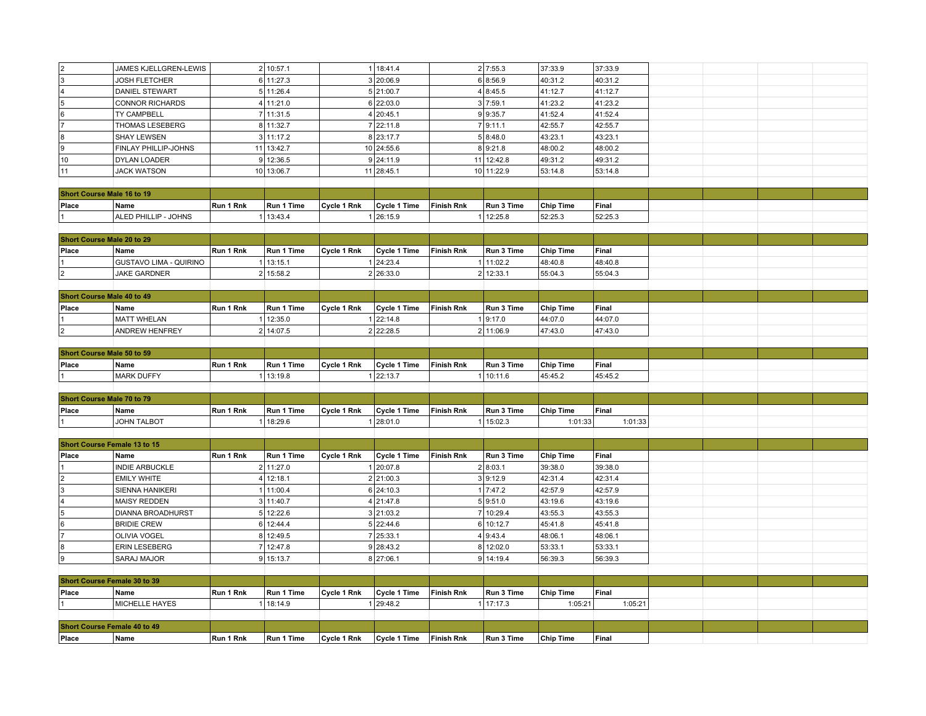|                                            | JAMES KJELLGREN-LEWIS                      |              | 2 10:57.1  |             | 1 18:41.4           |                   | 2 7:55.3   | 37:33.9          | 37:33.9 |  |  |
|--------------------------------------------|--------------------------------------------|--------------|------------|-------------|---------------------|-------------------|------------|------------------|---------|--|--|
| $\frac{2}{3}$                              | <b>JOSH FLETCHER</b>                       |              | 6 11:27.3  |             | 3 20:06.9           |                   | 6 8:56.9   | 40:31.2          | 40:31.2 |  |  |
| $\vert 4$                                  | DANIEL STEWART                             |              | 5 11:26.4  |             | 5 21:00.7           |                   | 4 8:45.5   | 41:12.7          | 41:12.7 |  |  |
| $\overline{5}$                             |                                            |              |            |             |                     |                   |            |                  |         |  |  |
|                                            | <b>CONNOR RICHARDS</b>                     |              | 4 11:21.0  |             | 6 22:03.0           |                   | 3 7:59.1   | 41:23.2          | 41:23.2 |  |  |
| $\frac{6}{7}$                              | TY CAMPBELL                                |              | 7 11:31.5  |             | 4 20:45.1           |                   | 9 9:35.7   | 41:52.4          | 41:52.4 |  |  |
|                                            | THOMAS LESEBERG                            |              | 8 11:32.7  |             | 7 22:11.8           |                   | 7 9:11.1   | 42:55.7          | 42:55.7 |  |  |
| $\sqrt{8}$                                 | <b>SHAY LEWSEN</b>                         |              | 3 11:17.2  |             | 8 23:17.7           |                   | 5 8:48.0   | 43:23.1          | 43:23.1 |  |  |
| $\overline{9}$                             | FINLAY PHILLIP-JOHNS                       |              | 11 13:42.7 |             | 10 24:55.6          |                   | 8 9:21.8   | 48:00.2          | 48:00.2 |  |  |
| 10                                         | DYLAN LOADER                               |              | 9 12:36.5  |             | 9 24:11.9           |                   | 11 12:42.8 | 49:31.2          | 49:31.2 |  |  |
| 11                                         | <b>JACK WATSON</b>                         |              | 10 13:06.7 |             | 11 28:45.1          |                   | 10 11:22.9 | 53:14.8          | 53:14.8 |  |  |
|                                            |                                            |              |            |             |                     |                   |            |                  |         |  |  |
| Short Course Male 16 to 19                 |                                            |              |            |             |                     |                   |            |                  |         |  |  |
| Place                                      | Name                                       | Run 1 Rnk    | Run 1 Time | Cycle 1 Rnk | Cycle 1 Time        | <b>Finish Rnk</b> | Run 3 Time | Chip Time        | Final   |  |  |
|                                            | ALED PHILLIP - JOHNS                       |              | 1 13:43.4  |             | 1 26:15.9           |                   | 12:25.8    | 52:25.3          | 52:25.3 |  |  |
|                                            |                                            |              |            |             |                     |                   |            |                  |         |  |  |
| Short Course Male 20 to 29                 |                                            |              |            |             |                     |                   |            |                  |         |  |  |
| Place                                      | Name                                       | Run 1 Rnk    | Run 1 Time | Cycle 1 Rnk | Cycle 1 Time        | <b>Finish Rnk</b> | Run 3 Time | <b>Chip Time</b> | Final   |  |  |
|                                            | <b>GUSTAVO LIMA - QUIRINO</b>              | $\mathbf{1}$ | 13:15.1    |             | 1 24:23.4           |                   | 11:02.2    | 48:40.8          | 48:40.8 |  |  |
| $\overline{2}$                             | <b>JAKE GARDNER</b>                        |              | 2 15:58.2  |             | 2 26:33.0           |                   | 2 12:33.1  | 55:04.3          | 55:04.3 |  |  |
|                                            |                                            |              |            |             |                     |                   |            |                  |         |  |  |
| Short Course Male 40 to 49                 |                                            |              |            |             |                     |                   |            |                  |         |  |  |
| Place                                      | Name                                       | Run 1 Rnk    | Run 1 Time | Cycle 1 Rnk | Cycle 1 Time        | <b>Finish Rnk</b> | Run 3 Time | <b>Chip Time</b> | Final   |  |  |
|                                            | <b>MATT WHELAN</b>                         |              | 1 12:35.0  |             | 1 22:14.8           |                   | 1 9:17.0   | 44:07.0          | 44:07.0 |  |  |
| $\boxed{2}$                                | <b>ANDREW HENFREY</b>                      |              | 2 14:07.5  |             | 2 22:28.5           |                   | 2 11:06.9  | 47:43.0          | 47:43.0 |  |  |
|                                            |                                            |              |            |             |                     |                   |            |                  |         |  |  |
| Short Course Male 50 to 59                 |                                            |              |            |             |                     |                   |            |                  |         |  |  |
|                                            |                                            |              |            |             |                     |                   |            |                  |         |  |  |
| Place                                      | Name                                       | Run 1 Rnk    | Run 1 Time | Cycle 1 Rnk | <b>Cycle 1 Time</b> | <b>Finish Rnk</b> | Run 3 Time | <b>Chip Time</b> | Final   |  |  |
|                                            | <b>MARK DUFFY</b>                          |              | 1 13:19.8  |             | 1 22:13.7           |                   | 1 10:11.6  | 45:45.2          | 45:45.2 |  |  |
|                                            |                                            |              |            |             |                     |                   |            |                  |         |  |  |
| Short Course Male 70 to 79                 |                                            |              |            |             |                     |                   |            |                  |         |  |  |
| Place                                      | Name                                       | Run 1 Rnk    | Run 1 Time | Cycle 1 Rnk | Cycle 1 Time        | <b>Finish Rnk</b> | Run 3 Time | <b>Chip Time</b> | Final   |  |  |
| $\overline{1}$                             | <b>JOHN TALBOT</b>                         |              | 1 18:29.6  |             | 1 28:01.0           |                   | 1 15:02.3  | 1:01:33          | 1:01:33 |  |  |
|                                            |                                            |              |            |             |                     |                   |            |                  |         |  |  |
| Short Course Female 13 to 15               |                                            |              |            |             |                     |                   |            |                  |         |  |  |
| Place                                      |                                            |              |            |             |                     |                   |            |                  |         |  |  |
|                                            | Name                                       | Run 1 Rnk    | Run 1 Time | Cycle 1 Rnk | Cycle 1 Time        | Finish Rnk        | Run 3 Time | <b>Chip Time</b> | Final   |  |  |
|                                            | INDIE ARBUCKLE                             |              | 2 11:27.0  |             | 1 20:07.8           |                   | 2 8:03.1   | 39:38.0          | 39:38.0 |  |  |
| $\overline{2}$                             | <b>EMILY WHITE</b>                         |              | 4 12:18.1  |             | 2 21:00.3           |                   | 3 9:12.9   | 42:31.4          | 42:31.4 |  |  |
| $\vert$ 3                                  | SIENNA HANIKERI                            |              | 1 11:00.4  |             | 6 24:10.3           |                   | 1 7:47.2   | 42:57.9          | 42:57.9 |  |  |
| $\vert$ 4                                  | <b>MAISY REDDEN</b>                        |              | 3 11:40.7  |             | 4 21:47.8           |                   | 5 9:51.0   | 43:19.6          | 43:19.6 |  |  |
|                                            | <b>DIANNA BROADHURST</b>                   |              | 5 12:22.6  |             | 3 21:03.2           |                   | 7 10:29.4  | 43:55.3          | 43:55.3 |  |  |
| $\overline{\phantom{a}}$<br>$\overline{6}$ | <b>BRIDIE CREW</b>                         |              | 6 12:44.4  |             | 5 22:44.6           |                   | 6 10:12.7  | 45:41.8          | 45:41.8 |  |  |
| $\overline{7}$                             | OLIVIA VOGEL                               |              | 8 12:49.5  |             | 7 25:33.1           |                   | 4 9:43.4   | 48:06.1          | 48:06.1 |  |  |
|                                            |                                            |              |            |             |                     |                   |            |                  |         |  |  |
| 8                                          | <b>ERIN LESEBERG</b><br><b>SARAJ MAJOR</b> |              | 7 12:47.8  |             | 9 28:43.2           |                   | 8 12:02.0  | 53:33.1          | 53:33.1 |  |  |
| 9                                          |                                            |              | 9 15:13.7  |             | 8 27:06.1           |                   | 9 14:19.4  | 56:39.3          | 56:39.3 |  |  |
|                                            |                                            |              |            |             |                     |                   |            |                  |         |  |  |
| Short Course Female 30 to 39               |                                            |              |            |             |                     |                   |            |                  |         |  |  |
| Place                                      | Name                                       | Run 1 Rnk    | Run 1 Time | Cycle 1 Rnk | Cycle 1 Time        | <b>Finish Rnk</b> | Run 3 Time | <b>Chip Time</b> | Final   |  |  |
|                                            | <b>MICHELLE HAYES</b>                      |              | 1 18:14.9  |             | 1 29:48.2           |                   | 17:17.3    | 1:05:21          | 1:05:21 |  |  |
|                                            |                                            |              |            |             |                     |                   |            |                  |         |  |  |
| Short Course Female 40 to 49<br>Place      | Name                                       | Run 1 Rnk    | Run 1 Time | Cycle 1 Rnk | Cycle 1 Time        | <b>Finish Rnk</b> | Run 3 Time | Chip Time        | Final   |  |  |